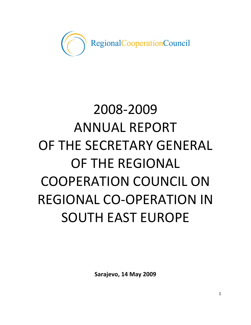

# 2008-2009 ANNUAL REPORT OF THE SECRETARY GENERAL OF THE REGIONAL COOPERATION COUNCIL ON REGIONAL CO-OPERATION IN SOUTH EAST EUROPE

**Sarajevo, 14 May 2009**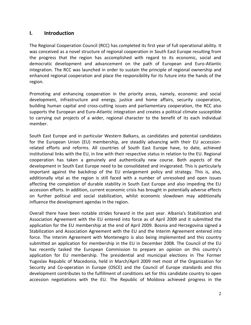# **I. Introduction**

The Regional Cooperation Council (RCC) has completed its first year of full operational ability. It was conceived as a novel structure of regional cooperation in South East Europe resulting from the progress that the region has accomplished with regard to its economic, social and democratic development and advancement on the path of European and Euro-Atlantic integration. The RCC was launched in order to sustain the principle of regional ownership and enhanced regional cooperation and place the responsibility for its future into the hands of the region.

Promoting and enhancing cooperation in the priority areas, namely, economic and social development, infrastructure and energy, justice and home affairs, security cooperation, building human capital and cross-cutting issues and parliamentary cooperation, the RCC also supports the European and Euro-Atlantic integration and creates a political climate susceptible to carrying out projects of a wider, regional character to the benefit of its each individual member.

South East Europe and in particular Western Balkans, as candidates and potential candidates for the European Union (EU) membership, are steadily advancing with their EU accessionrelated efforts and reforms. All countries of South East Europe have, to date, achieved institutional links with the EU, in line with their respective status in relation to the EU. Regional cooperation has taken a genuinely and authentically new course. Both aspects of the development in South East Europe need to be consolidated and invigorated. This is particularly important against the backdrop of the EU enlargement policy and strategy. This is, also, additionally vital as the region is still faced with a number of unresolved and open issues affecting the completion of durable stability in South East Europe and also impeding the EU accession efforts. In addition, current economic crisis has brought in potentially adverse effects on further political and social stabilization, whilst economic slowdown may additionally influence the development agendas in the region.

Overall there have been notable strides forward in the past year. Albania's Stabilization and Association Agreement with the EU entered into force as of April 2009 and it submitted the application for the EU membership at the end of April 2009. Bosnia and Herzegovina signed a Stabilization and Association Agreement with the EU and the Interim Agreement entered into force. The Interim Agreement with Montenegro is also being implemented and this country submitted an application for membership in the EU in December 2008. The Council of the EU has recently tasked the European Commission to prepare an opinion on this country's application for EU membership. The presidential and municipal elections in The Former Yugoslav Republic of Macedonia, held in March/April 2009 met most of the Organization for Security and Co-operation in Europe (OSCE) and the Council of Europe standards and this development contributes to the fulfillment of conditions set for this candidate country to open accession negotiations with the EU. The Republic of Moldova achieved progress in the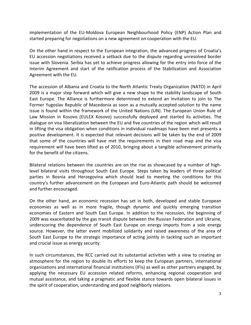implementation of the EU-Moldova European Neighbourhood Policy (ENP) Action Plan and started preparing for negotiations on a new agreement on cooperation with the EU.

On the other hand in respect to the European integration, the advanced progress of Croatia's EU accession negotiations received a setback due to the dispute regarding unresolved border issue with Slovenia. Serbia has yet to achieve progress allowing for the entry into force of the Interim Agreement and start of the ratification process of the Stabilization and Association Agreement with the EU.

The accession of Albania and Croatia to the North Atlantic Treaty Organization (NATO) in April 2009 is a major step forward which will give a new shape to the stability landscape of South East Europe. The Alliance is furthermore determined to extend an invitation to join to The Former Yugoslav Republic of Macedonia as soon as a mutually accepted solution to the name issue is found within the framework of the United Nations (UN). The European Union Rule of Law Mission in Kosovo (EULEX Kosovo) successfully deployed and started its activities. The dialogue on visa liberalization between the EU and five countries of the region which will result in lifting the visa obligation when conditions in individual roadmaps have been met presents a positive development. It is expected that relevant decisions will be taken by the end of 2009 that some of the countries will have met the requirements in their road map and the visa requirement will have been lifted as of 2010, bringing about a tangible achievement primarily for the benefit of the citizens.

Bilateral relations between the countries are on the rise as showcased by a number of highlevel bilateral visits throughout South East Europe. Steps taken by leaders of three political parties in Bosnia and Herzegovina which should lead to meeting the conditions for this country's further advancement on the European and Euro-Atlantic path should be welcomed and further encouraged.

On the other hand, an economic recession has set in both, developed and stable European economies as well as in more fragile, though dynamic and quickly emerging transition economies of Eastern and South East Europe. In addition to the recession, the beginning of 2009 was exacerbated by the gas transit dispute between the Russian Federation and Ukraine, underscoring the dependence of South East Europe on energy imports from a sole energy source. However, the latter event mobilized solidarity and raised awareness of the area of South East Europe to the strategic importance of acting jointly in tackling such an important and crucial issue as energy security.

In such circumstances, the RCC carried out its substantial activities with a view to creating an atmosphere for the region to double its efforts to keep the European partners, international organizations and international financial institutions (IFIs) as well as other partners engaged, by applying the necessary EU accession related reforms, enhancing regional cooperation and mutual assistance, and taking a pragmatic and flexible stance towards open bilateral issues in the spirit of cooperation, understanding and good neighborly relations.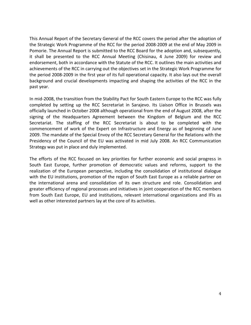This Annual Report of the Secretary General of the RCC covers the period after the adoption of the Strategic Work Programme of the RCC for the period 2008-2009 at the end of May 2009 in Pomorie. The Annual Report is submitted to the RCC Board for the adoption and, subsequently, it shall be presented to the RCC Annual Meeting (Chisinau, 4 June 2009) for review and endorsement, both in accordance with the Statute of the RCC. It outlines the main activities and achievements of the RCC in carrying out the objectives set in the Strategic Work Programme for the period 2008-2009 in the first year of its full operational capacity. It also lays out the overall background and crucial developments impacting and shaping the activities of the RCC in the past year.

In mid-2008, the transition from the Stability Pact for South Eastern Europe to the RCC was fully completed by setting up the RCC Secretariat in Sarajevo. Its Liaison Office in Brussels was officially launched in October 2008 although operational from the end of August 2008, after the signing of the Headquarters Agreement between the Kingdom of Belgium and the RCC Secretariat. The staffing of the RCC Secretariat is about to be completed with the commencement of work of the Expert on Infrastructure and Energy as of beginning of June 2009. The mandate of the Special Envoy of the RCC Secretary General for the Relations with the Presidency of the Council of the EU was activated in mid July 2008. An RCC Communication Strategy was put in place and duly implemented.

The efforts of the RCC focused on key priorities for further economic and social progress in South East Europe, further promotion of democratic values and reforms, support to the realization of the European perspective, including the consolidation of institutional dialogue with the EU institutions, promotion of the region of South East Europe as a reliable partner on the international arena and consolidation of its own structure and role. Consolidation and greater efficiency of regional processes and initiatives in joint cooperation of the RCC members from South East Europe, EU and institutions, relevant international organizations and IFIs as well as other interested partners lay at the core of its activities.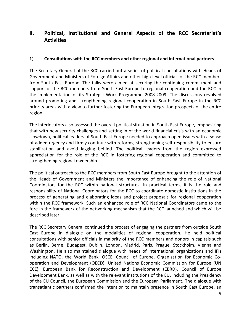# **II. Political, Institutional and General Aspects of the RCC Secretariat's Activities**

# **1) Consultations with the RCC members and other regional and international partners**

The Secretary General of the RCC carried out a series of political consultations with Heads of Government and Ministers of Foreign Affairs and other high-level officials of the RCC members from South East Europe. The talks were aimed at securing the continuing commitment and support of the RCC members from South East Europe to regional cooperation and the RCC in the implementation of its Strategic Work Programme 2008-2009. The discussions revolved around promoting and strengthening regional cooperation in South East Europe in the RCC priority areas with a view to further fostering the European integration prospects of the entire region.

The interlocutors also assessed the overall political situation in South East Europe, emphasizing that with new security challenges and setting in of the world financial crisis with an economic slowdown, political leaders of South East Europe needed to approach open issues with a sense of added urgency and firmly continue with reforms, strengthening self-responsibility to ensure stabilization and avoid lagging behind. The political leaders from the region expressed appreciation for the role of the RCC in fostering regional cooperation and committed to strengthening regional ownership.

The political outreach to the RCC members from South East Europe brought to the attention of the Heads of Government and Ministers the importance of enhancing the role of National Coordinators for the RCC within national structures. In practical terms, it is the role and responsibility of National Coordinators for the RCC to coordinate domestic institutions in the process of generating and elaborating ideas and project proposals for regional cooperation within the RCC framework. Such an enhanced role of RCC National Coordinators came to the fore in the framework of the networking mechanism that the RCC launched and which will be described later.

The RCC Secretary General continued the process of engaging the partners from outside South East Europe in dialogue on the modalities of regional cooperation. He held political consultations with senior officials in majority of the RCC members and donors in capitals such as Berlin, Berne, Budapest, Dublin, London, Madrid, Paris, Prague, Stockholm, Vienna and Washington. He also maintained dialogue with heads of international organizations and IFIs including NATO, the World Bank, OSCE, Council of Europe, Organisation for Economic Cooperation and Development (OECD), United Nations Economic Commission for Europe (UN ECE), European Bank for Reconstruction and Development (EBRD), Council of Europe Development Bank, as well as with the relevant institutions of the EU, including the Presidency of the EU Council, the European Commission and the European Parliament. The dialogue with transatlantic partners confirmed the intention to maintain presence in South East Europe, an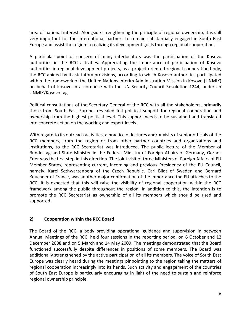area of national interest. Alongside strengthening the principle of regional ownership, it is still very important for the international partners to remain substantially engaged in South East Europe and assist the region in realizing its development goals through regional cooperation.

A particular point of concern of many interlocutors was the participation of the Kosovo authorities in the RCC activities. Appreciating the importance of participation of Kosovo authorities in regional development projects, as a project-oriented regional cooperation body, the RCC abided by its statutory provisions, according to which Kosovo authorities participated within the framework of the United Nations Interim Administration Mission in Kosovo (UNMIK) on behalf of Kosovo in accordance with the UN Security Council Resolution 1244, under an UNMIK/Kosovo tag.

Political consultations of the Secretary General of the RCC with all the stakeholders, primarily those from South East Europe, revealed full political support for regional cooperation and ownership from the highest political level. This support needs to be sustained and translated into concrete action on the working and expert levels.

With regard to its outreach activities, a practice of lectures and/or visits of senior officials of the RCC members, from the region or from other partner countries and organizations and institutions, to the RCC Secretariat was introduced. The public lecture of the Member of Bundestag and State Minister in the Federal Ministry of Foreign Affairs of Germany, Gernot Erler was the first step in this direction. The joint visit of three Ministers of Foreign Affairs of EU Member States, representing current, incoming and previous Presidency of the EU Council, namely, Karel Sczhwarzenberg of the Czech Republic, Carl Bildt of Sweden and Bernard Kouchner of France, was another major confirmation of the importance the EU attaches to the RCC. It is expected that this will raise the visibility of regional cooperation within the RCC framework among the public throughout the region. In addition to this, the intention is to promote the RCC Secretariat as ownership of all its members which should be used and supported.

# **2) Cooperation within the RCC Board**

The Board of the RCC, a body providing operational guidance and supervision in between Annual Meetings of the RCC, held four sessions in the reporting period, on 6 October and 12 December 2008 and on 5 March and 14 May 2009. The meetings demonstrated that the Board functioned successfully despite differences in positions of some members. The Board was additionally strengthened by the active participation of all its members. The voice of South East Europe was clearly heard during the meetings pinpointing to the region taking the matters of regional cooperation increasingly into its hands. Such activity and engagement of the countries of South East Europe is particularly encouraging in light of the need to sustain and reinforce regional ownership principle.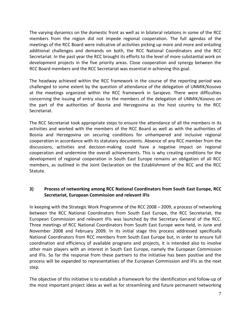The varying dynamics on the domestic front as well as in bilateral relations in some of the RCC members from the region did not impede regional cooperation. The full agendas of the meetings of the RCC Board were indicative of activities picking up more and more and entailing additional challenges and demands on both, the RCC National Coordinators and the RCC Secretariat. In the past year the RCC brought its efforts to the level of more substantial work on development projects in the five priority areas. Close cooperation and synergy between the RCC Board members and the RCC Secretariat was essential in achieving this goal.

The headway achieved within the RCC framework in the course of the reporting period was challenged to some extent by the question of attendance of the delegation of UNMIK/Kosovo at the meetings organized within the RCC framework in Sarajevo. There were difficulties concerning the issuing of entry visas to the members of the delegation of UNMIK/Kosovo on the part of the authorities of Bosnia and Herzegovina as the host country to the RCC Secretariat.

The RCC Secretariat took appropriate steps to ensure the attendance of all the members in its activities and worked with the members of the RCC Board as well as with the authorities of Bosnia and Herzegovina on securing conditions for unhampered and inclusive regional cooperation in accordance with its statutory documents. Absence of any RCC member from the discussions, activities and decision-making could have a negative impact on regional cooperation and undermine the overall achievements. This is why creating conditions for the development of regional cooperation in South East Europe remains an obligation of all RCC members, as outlined in the Joint Declaration on the Establishment of the RCC and the RCC Statute.

# **3) Process of networking among RCC National Coordinators from South East Europe, RCC Secretariat, European Commission and relevant IFIs**

In keeping with the Strategic Work Programme of the RCC 2008 – 2009, a process of networking between the RCC National Coordinators from South East Europe, the RCC Secretariat, the European Commission and relevant IFIs was launched by the Secretary General of the RCC. Three meetings of RCC National Coordinators from South East Europe were held, in June and November 2008 and February 2009. In its initial stage this process addressed specifically National Coordinators from RCC members from South East Europe but, in order to ensure full coordination and efficiency of available programs and projects, it is intended also to involve other main players with an interest in South East Europe, namely the European Commission and IFIs. So far the response from these partners to the initiative has been positive and the process will be expanded to representatives of the European Commission and IFIs as the next step.

The objective of this initiative is to establish a framework for the identification and follow-up of the most important project ideas as well as for streamlining and future permanent networking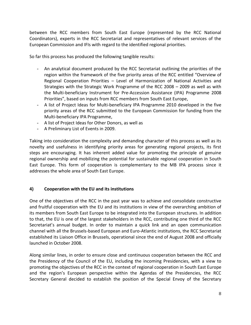between the RCC members from South East Europe (represented by the RCC National Coordinators), experts in the RCC Secretariat and representatives of relevant services of the European Commission and IFIs with regard to the identified regional priorities.

So far this process has produced the following tangible results:

- An analytical document produced by the RCC Secretariat outlining the priorities of the region within the framework of the five priority areas of the RCC entitled "Overview of Regional Cooperation Priorities – Level of Harmonization of National Activities and Strategies with the Strategic Work Programme of the RCC 2008 – 2009 as well as with the Multi-beneficiary Instrument for Pre-Accession Assistance (IPA) Programme 2008 Priorities", based on inputs from RCC members from South East Europe,
- A list of Project Ideas for Multi-beneficiary IPA Programme 2010 developed in the five priority areas of the RCC submitted to the European Commission for funding from the Multi-beneficiary IPA Programme,
- A list of Project Ideas for Other Donors, as well as
- A Preliminary List of Events in 2009.

Taking into consideration the complexity and demanding character of this process as well as its novelty and usefulness in identifying priority areas for generating regional projects, its first steps are encouraging. It has inherent added value for promoting the principle of genuine regional ownership and mobilizing the potential for sustainable regional cooperation in South East Europe. This form of cooperation is complementary to the MB IPA process since it addresses the whole area of South East Europe.

# **4) Cooperation with the EU and its institutions**

One of the objectives of the RCC in the past year was to achieve and consolidate constructive and fruitful cooperation with the EU and its institutions in view of the overarching ambition of its members from South East Europe to be integrated into the European structures. In addition to that, the EU is one of the largest stakeholders in the RCC, contributing one third of the RCC Secretariat's annual budget. In order to maintain a quick link and an open communication channel with all the Brussels-based European and Euro-Atlantic institutions, the RCC Secretariat established its Liaison Office in Brussels, operational since the end of August 2008 and officially launched in October 2008.

Along similar lines, in order to ensure close and continuous cooperation between the RCC and the Presidency of the Council of the EU, including the incoming Presidencies, with a view to promoting the objectives of the RCC in the context of regional cooperation in South East Europe and the region's European perspective within the Agendas of the Presidencies, the RCC Secretary General decided to establish the position of the Special Envoy of the Secretary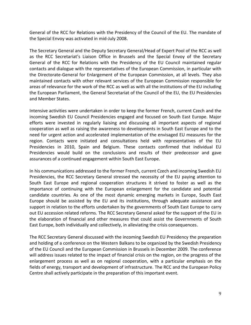General of the RCC for Relations with the Presidency of the Council of the EU. The mandate of the Special Envoy was activated in mid-July 2008.

The Secretary General and the Deputy Secretary General/Head of Expert Pool of the RCC as well as the RCC Secretariat's Liaison Office in Brussels and the Special Envoy of the Secretary General of the RCC for Relations with the Presidency of the EU Council maintained regular contacts and dialogue with the representatives of the European Commission, in particular with the Directorate-General for Enlargement of the European Commission, at all levels. They also maintained contacts with other relevant services of the European Commission responsible for areas of relevance for the work of the RCC as well as with all the institutions of the EU including the European Parliament, the General Secretariat of the Council of the EU, the EU Presidencies and Member States.

Intensive activities were undertaken in order to keep the former French, current Czech and the incoming Swedish EU Council Presidencies engaged and focused on South East Europe. Major efforts were invested in regularly liaising and discussing all important aspects of regional cooperation as well as raising the awareness to developments in South East Europe and to the need for urgent action and accelerated implementation of the envisaged EU measures for the region. Contacts were initiated and consultations held with representatives of the EU Presidencies in 2010, Spain and Belgium. These contacts confirmed that individual EU Presidencies would build on the conclusions and results of their predecessor and gave assurances of a continued engagement within South East Europe.

In his communications addressed to the former French, current Czech and incoming Swedish EU Presidencies, the RCC Secretary General stressed the necessity of the EU paying attention to South East Europe and regional cooperation structures it strived to foster as well as the importance of continuing with the European enlargement for the candidate and potential candidate countries. As one of the most dynamic emerging markets in Europe, South East Europe should be assisted by the EU and its institutions, through adequate assistance and support in relation to the efforts undertaken by the governments of South East Europe to carry out EU accession related reforms. The RCC Secretary General asked for the support of the EU in the elaboration of financial and other measures that could assist the Governments of South East Europe, both individually and collectively, in alleviating the crisis consequences.

The RCC Secretary General discussed with the incoming Swedish EU Presidency the preparation and holding of a conference on the Western Balkans to be organized by the Swedish Presidency of the EU Council and the European Commission in Brussels in December 2009. The conference will address issues related to the impact of financial crisis on the region, on the progress of the enlargement process as well as on regional cooperation, with a particular emphasis on the fields of energy, transport and development of infrastructure. The RCC and the European Policy Centre shall actively participate in the preparation of this important event.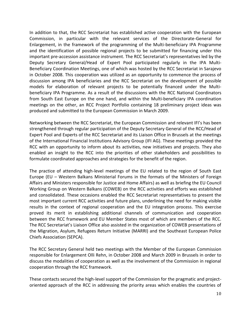In addition to that, the RCC Secretariat has established active cooperation with the European Commission, in particular with the relevant services of the Directorate-General for Enlargement, in the framework of the programming of the Multi-beneficiary IPA Programme and the identification of possible regional projects to be submitted for financing under this important pre-accession assistance instrument. The RCC Secretariat's representatives led by the Deputy Secretary General/Head of Expert Pool participated regularly in the IPA Multi-Beneficiary Coordination Meetings, one of which was hosted by the RCC Secretariat in Sarajevo in October 2008. This cooperation was utilized as an opportunity to commence the process of discussion among IPA beneficiaries and the RCC Secretariat on the development of possible models for elaboration of relevant projects to be potentially financed under the Multibeneficiary IPA Programme. As a result of the discussions with the RCC National Coordinators from South East Europe on the one hand, and within the Multi-beneficiary IPA coordination meetings on the other, an RCC Project Portfolio containing 18 preliminary project ideas was produced and submitted to the European Commission in March 2009.

Networking between the RCC Secretariat, the European Commission and relevant IFI's has been strengthened through regular participation of the Deputy Secretary General of the RCC/Head of Expert Pool and Experts of the RCC Secretariat and its Liaison Office in Brussels at the meetings of the International Financial Institutions Advisory Group (IFI AG). These meetings provided the RCC with an opportunity to inform about its activities, new initiatives and projects. They also enabled an insight to the RCC into the priorities of other stakeholders and possibilities to formulate coordinated approaches and strategies for the benefit of the region.

The practice of attending high-level meetings of the EU related to the region of South East Europe (EU – Western Balkans Ministerial Forums in the formats of the Ministers of Foreign Affairs and Ministers responsible for Justice and Home Affairs) as well as briefing the EU Council Working Group on Western Balkans (COWEB) on the RCC activities and efforts was established and consolidated. These occasions enabled the RCC Secretariat representatives to present the most important current RCC activities and future plans, underlining the need for making visible results in the context of regional cooperation and the EU integration process. This exercise proved its merit in establishing additional channels of communication and cooperation between the RCC framework and EU Member States most of which are members of the RCC. The RCC Secretariat's Liaison Office also assisted in the organization of COWEB presentations of the Migration, Asylum, Refugees Return Initiative (MARRI) and the Southeast European Police Chiefs Association (SEPCA).

The RCC Secretary General held two meetings with the Member of the European Commission responsible for Enlargement Olli Rehn, in October 2008 and March 2009 in Brussels in order to discuss the modalities of cooperation as well as the involvement of the Commission in regional cooperation through the RCC framework.

These contacts secured the high-level support of the Commission for the pragmatic and projectoriented approach of the RCC in addressing the priority areas which enables the countries of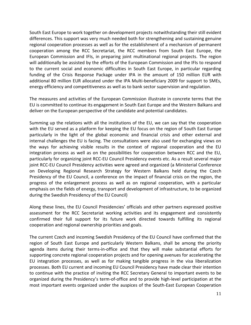South East Europe to work together on development projects notwithstanding their still evident differences. This support was very much needed both for strengthening and sustaining genuine regional cooperation processes as well as for the establishment of a mechanism of permanent cooperation among the RCC Secretariat, the RCC members from South East Europe, the European Commission and IFIs, in preparing joint multinational regional projects. The region will additionally be assisted by the efforts of the European Commission and the IFIs to respond to the current social and economic difficulties in South East Europe, in particular regarding funding of the Crisis Response Package under IPA in the amount of 150 million EUR with additional 80 million EUR allocated under the IPA Multi-beneficiary 2009 for support to SMEs, energy efficiency and competitiveness as well as to bank sector supervision and regulation.

The measures and activities of the European Commission illustrate in concrete terms that the EU is committed to continue its engagement in South East Europe and the Western Balkans and deliver on the European perspective of the candidate and potential candidates.

Summing up the relations with all the institutions of the EU, we can say that the cooperation with the EU served as a platform for keeping the EU focus on the region of South East Europe particularly in the light of the global economic and financial crisis and other external and internal challenges the EU is facing. The consultations were also used for exchanging views on the ways for achieving visible results in the context of regional cooperation and the EU integration process as well as on the possibilities for cooperation between RCC and the EU, particularly for organizing joint RCC-EU Council Presidency events etc. As a result several major joint RCC-EU Council Presidency activities were agreed and organized (a Ministerial Conference on Developing Regional Research Strategy for Western Balkans held during the Czech Presidency of the EU Council, a conference on the impact of financial crisis on the region, the progress of the enlargement process as well as on regional cooperation, with a particular emphasis on the fields of energy, transport and development of infrastructure, to be organized during the Swedish Presidency of the EU Council)

Along these lines, the EU Council Presidencies' officials and other partners expressed positive assessment for the RCC Secretariat working activities and its engagement and consistently confirmed their full support for its future work directed towards fulfilling its regional cooperation and regional ownership priorities and goals.

The current Czech and incoming Swedish Presidency of the EU Council have confirmed that the region of South East Europe and particularly Western Balkans, shall be among the priority agenda items during their terms-in-office and that they will make substantial efforts for supporting concrete regional cooperation projects and for opening avenues for accelerating the EU integration processes, as well as for making tangible progress in the visa liberalization processes. Both EU current and incoming EU Council Presidency have made clear their intention to continue with the practice of inviting the RCC Secretary General to important events to be organized during the Presidency's term-of-office and to provide high-level participation at the most important events organized under the auspices of the South-East European Cooperation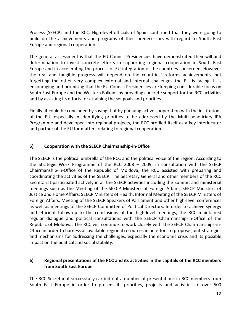Process (SEECP) and the RCC. High-level officials of Spain confirmed that they were going to build on the achievements and programs of their predecessors with regard to South East Europe and regional cooperation.

The general assessment is that the EU Council Presidencies have demonstrated their will and determination to invest concrete efforts in supporting regional cooperation in South East Europe and in accelerating the process of EU integration of the countries concerned. However the real and tangible progress will depend on the countries' reforms achievements, not forgetting the other very complex external and internal challenges the EU is facing. It is encouraging and promising that the EU Council Presidencies are keeping considerable focus on South East Europe and the Western Balkans by providing concrete support for the RCC activities and by assisting its efforts for attaining the set goals and priorities.

Finally, it could be concluded by saying that by pursuing active cooperation with the institutions of the EU, especially in identifying priorities to be addressed by the Multi-beneficiary IPA Programme and developed into regional projects, the RCC profiled itself as a key interlocutor and partner of the EU for matters relating to regional cooperation.

# **5) Cooperation with the SEECP Chairmanship-in-Office**

The SEECP is the political umbrella of the RCC and the political voice of the region. According to the Strategic Work Programme of the RCC 2008 – 2009, in consultation with the SEECP Chairmanship-in-Office of the Republic of Moldova, the RCC assisted with preparing and coordinating the activities of the SEECP. The Secretary General and other members of the RCC Secretariat participated actively in all the SEECP activities including the Summit and ministerial meetings such as the Meeting of the SEECP Ministers of Foreign Affairs, SEECP Ministers of Justice and Home Affairs, SEECP Ministers of Health, Informal Meeting of the SEECP Ministers of Foreign Affairs, Meeting of the SEECP Speakers of Parliament and other high-level conferences as well as meetings of the SEECP Committee of Political Directors. In order to achieve synergy and efficient follow-up to the conclusions of the high-level meetings, the RCC maintained regular dialogue and political consultations with the SEECP Chairmanship-in-Office of the Republic of Moldova. The RCC will continue to work closely with the SEECP Chairmanships-in-Office in order to harness all available regional resources in an effort to propose joint strategies and mechanisms for addressing the challenges, especially the economic crisis and its possible impact on the political and social stability.

# **6) Regional presentations of the RCC and its activities in the capitals of the RCC members from South East Europe**

The RCC Secretariat successfully carried out a number of presentations in RCC members from South East Europe in order to present its priorities, projects and activities to over 500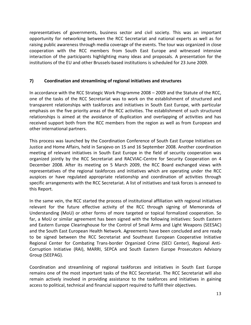representatives of governments, business sector and civil society. This was an important opportunity for networking between the RCC Secretariat and national experts as well as for raising public awareness through media coverage of the events. The tour was organized in close cooperation with the RCC members from South East Europe and witnessed intensive interaction of the participants highlighting many ideas and proposals. A presentation for the institutions of the EU and other Brussels-based institutions is scheduled for 23 June 2009.

# **7) Coordination and streamlining of regional initiatives and structures**

In accordance with the RCC Strategic Work Programme 2008 – 2009 and the Statute of the RCC, one of the tasks of the RCC Secretariat was to work on the establishment of structured and transparent relationships with taskforces and initiatives in South East Europe, with particular emphasis on the five priority areas of the RCC activities. The establishment of such structured relationships is aimed at the avoidance of duplication and overlapping of activities and has received support both from the RCC members from the region as well as from European and other international partners.

This process was launched by the Coordination Conference of South East Europe Initiatives on Justice and Home Affairs, held in Sarajevo on 15 and 16 September 2008. Another coordination meeting of relevant initiatives in South East Europe in the field of security cooperation was organized jointly by the RCC Secretariat and RACVIAC-Centre for Security Cooperation on 4 December 2008. After its meeting on 5 March 2009, the RCC Board exchanged views with representatives of the regional taskforces and initiatives which are operating under the RCC auspices or have regulated appropriate relationship and coordination of activities through specific arrangements with the RCC Secretariat. A list of initiatives and task forces is annexed to this Report.

In the same vein, the RCC started the process of institutional affiliation with regional initiatives relevant for the future effective activity of the RCC through signing of Memoranda of Understanding (MoU) or other forms of more targeted or topical formalized cooperation. So far, a MoU or similar agreement has been signed with the following initiatives: South Eastern and Eastern Europe Clearinghouse for the Control of Small Arms and Light Weapons (SEESAC) and the South East European Health Network. Agreements have been concluded and are ready to be signed between the RCC Secretariat and Southeast European Cooperative Initiative Regional Center for Combating Trans-border Organized Crime (SECI Center), Regional Anti-Corruption Initiative (RAI), MARRI, SEPCA and South Eastern Europe Prosecutors Advisory Group (SEEPAG).

Coordination and streamlining of regional taskforces and initiatives in South East Europe remains one of the most important tasks of the RCC Secretariat. The RCC Secretariat will also remain actively involved in providing assistance to the taskforces and initiatives in gaining access to political, technical and financial support required to fulfill their objectives.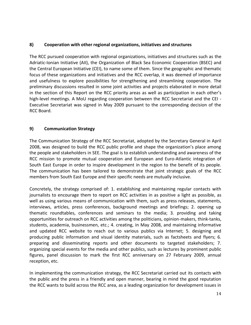# **8) Cooperation with other regional organizations, initiatives and structures**

The RCC pursued cooperation with regional organizations, initiatives and structures such as the Adriatic-Ionian Initiative (AII), the Organization of Black Sea Economic Cooperation (BSEC) and the Central European Initiative (CEI), to name some of them. Since the geographic and thematic focus of these organizations and initiatives and the RCC overlap, it was deemed of importance and usefulness to explore possibilities for strengthening and streamlining cooperation. The preliminary discussions resulted in some joint activities and projects elaborated in more detail in the section of this Report on the RCC priority areas as well as participation in each other's high-level meetings. A MoU regarding cooperation between the RCC Secretariat and the CEI - Executive Secretariat was signed in May 2009 pursuant to the corresponding decision of the RCC Board.

# **9) Communication Strategy**

The Communication Strategy of the RCC Secretariat, adopted by the Secretary General in April 2008, was designed to build the RCC public profile and shape the organization's place among the people and stakeholders in SEE. The goal is to establish understanding and awareness of the RCC mission to promote mutual cooperation and European and Euro-Atlantic integration of South East Europe in order to inspire development in the region to the benefit of its people. The communication has been tailored to demonstrate that joint strategic goals of the RCC members from South East Europe and their specific needs are mutually inclusive.

Concretely, the strategy comprised of: 1. establishing and maintaining regular contacts with journalists to encourage them to report on RCC activities in as positive a light as possible, as well as using various means of communication with them, such as press releases, statements, interviews, articles, press conferences, background meetings and briefings; 2. opening up thematic roundtables, conferences and seminars to the media; 3. providing and taking opportunities for outreach on RCC activities among the politicians, opinion-makers, think-tanks, students, academia, businessmen, etc.; 4. creating, in May 2008, and maintaining informative and updated RCC website to reach out to various publics via Internet; 5. designing and producing public information and visual identity materials, such as factsheets and flyers; 6. preparing and disseminating reports and other documents to targeted stakeholders; 7. organizing special events for the media and other publics, such as lectures by prominent public figures, panel discussion to mark the first RCC anniversary on 27 February 2009, annual reception, etc.

In implementing the communication strategy, the RCC Secretariat carried out its contacts with the public and the press in a friendly and open manner, bearing in mind the good reputation the RCC wants to build across the RCC area, as a leading organization for development issues in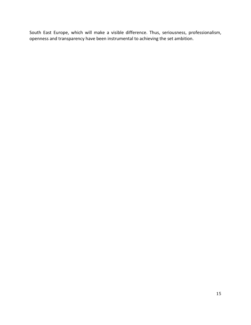South East Europe, which will make a visible difference. Thus, seriousness, professionalism, openness and transparency have been instrumental to achieving the set ambition.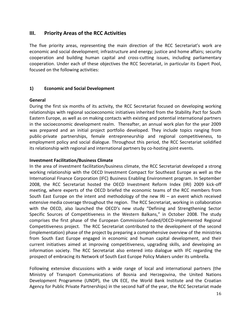# **III. Priority Areas of the RCC Activities**

The five priority areas, representing the main direction of the RCC Secretariat's work are economic and social development; infrastructure and energy; justice and home affairs; security cooperation and building human capital and cross-cutting issues, including parliamentary cooperation. Under each of these objectives the RCC Secretariat, in particular its Expert Pool, focused on the following activities:

# **1) Economic and Social Development**

# **General**

During the first six months of its activity, the RCC Secretariat focused on developing working relationships with regional socioeconomic initiatives inherited from the Stability Pact for South Eastern Europe, as well as on making contacts with existing and potential international partners in the socioeconomic development realm. Thereafter, an annual work plan for the year 2009 was prepared and an initial project portfolio developed. They include topics ranging from public-private partnerships, female entrepreneurship and regional competitiveness, to employment policy and social dialogue. Throughout this period, the RCC Secretariat solidified its relationship with regional and international partners by co-hosting joint events.

# **Investment Facilitation/Business Climate**

In the area of investment facilitation/business climate, the RCC Secretariat developed a strong working relationship with the OECD Investment Compact for Southeast Europe as well as the International Finance Corporation (IFC) Business Enabling Environment program. In September 2008, the RCC Secretariat hosted the OECD Investment Reform Index (IRI) 2009 kick-off meeting, where experts of the OECD briefed the economic teams of the RCC members from South East Europe on the intent and methodology of the new IRI – an event which received extensive media coverage throughout the region. The RCC Secretariat, working in collaboration with the OECD, also launched the OECD's new study "Defining and Strengthening Sector Specific Sources of Competitiveness in the Western Balkans," in October 2008. The study comprises the first phase of the European Commission-funded/OECD-implemented Regional Competitiveness project. The RCC Secretariat contributed to the development of the second (implementation) phase of the project by preparing a comprehensive overview of the ministries from South East Europe engaged in economic and human capital development, and their current initiatives aimed at improving competitiveness, upgrading skills, and developing an information society. The RCC Secretariat also entered into dialogue with IFC regarding the prospect of embracing its Network of South East Europe Policy Makers under its umbrella.

Following extensive discussions with a wide range of local and international partners (the Ministry of Transport Communications of Bosnia and Herzegovina, the United Nations Development Programme (UNDP), the UN ECE, the World Bank Institute and the Croatian Agency for Public Private Partnerships) in the second half of the year, the RCC Secretariat made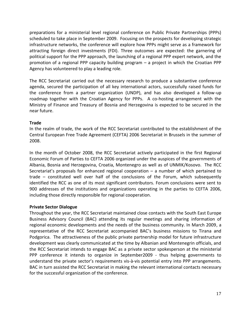preparations for a ministerial level regional conference on Public Private Partnerships (PPPs) scheduled to take place in September 2009. Focusing on the prospects for developing strategic infrastructure networks, the conference will explore how PPPs might serve as a framework for attracting foreign direct investments (FDI). Three outcomes are expected: the garnering of political support for the PPP approach, the launching of a regional PPP expert network, and the promotion of a regional PPP capacity building program – a project in which the Croatian PPP Agency has volunteered to play a leading role.

The RCC Secretariat carried out the necessary research to produce a substantive conference agenda, secured the participation of all key international actors, successfully raised funds for the conference from a partner organization (UNDP), and has also developed a follow-up roadmap together with the Croatian Agency for PPPs. A co-hosting arrangement with the Ministry of Finance and Treasury of Bosnia and Herzegovina is expected to be secured in the near future.

# **Trade**

In the realm of trade, the work of the RCC Secretariat contributed to the establishment of the Central European Free Trade Agreement (CEFTA) 2006 Secretariat in Brussels in the summer of 2008.

In the month of October 2008, the RCC Secretariat actively participated in the first Regional Economic Forum of Parties to CEFTA 2006 organized under the auspices of the governments of Albania, Bosnia and Herzegovina, Croatia, Montenegro as well as of UNMIK/Kosovo. The RCC Secretariat's proposals for enhanced regional cooperation – a number of which pertained to trade – constituted well over half of the conclusions of the Forum, which subsequently identified the RCC as one of its most significant contributors. Forum conclusions were sent to 900 addresses of the institutions and organizations operating in the parties to CEFTA 2006, including those directly responsible for regional cooperation.

# **Private Sector Dialogue**

Throughout the year, the RCC Secretariat maintained close contacts with the South East Europe Business Advisory Council (BAC) attending its regular meetings and sharing information of regional economic developments and the needs of the business community. In March 2009, a representative of the RCC Secretariat accompanied BAC's business missions to Tirana and Podgorica. The attractiveness of the public private partnership model for future infrastructure development was clearly communicated at the time by Albanian and Montenegrin officials, and the RCC Secretariat intends to engage BAC as a private sector spokesperson at the ministerial PPP conference it intends to organize in September2009 - thus helping governments to understand the private sector's requirements vis-à-vis potential entry into PPP arrangements. BAC in turn assisted the RCC Secretariat in making the relevant international contacts necessary for the successful organization of the conference.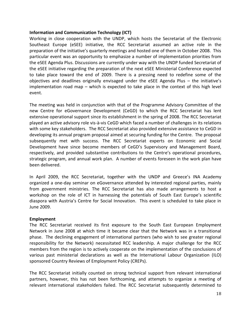# **Information and Communication Technology (ICT)**

Working in close cooperation with the UNDP, which hosts the Secretariat of the Electronic Southeast Europe (eSEE) initiative, the RCC Secretariat assumed an active role in the preparation of the initiative's quarterly meetings and hosted one of them in October 2008. This particular event was an opportunity to emphasize a number of implementation priorities from the eSEE Agenda Plus. Discussions are currently under way with the UNDP funded Secretariat of the eSEE initiative regarding the preparation of the next eSEE Ministerial Conference expected to take place toward the end of 2009. There is a pressing need to redefine some of the objectives and deadlines originally envisaged under the eSEE Agenda Plus – the initiative's implementation road map – which is expected to take place in the context of this high level event.

The meeting was held in conjunction with that of the Programme Advisory Committee of the new Centre for eGovernance Development (CeGD) to which the RCC Secretariat has lent extensive operational support since its establishment in the spring of 2008. The RCC Secretariat played an active advisory role vis-à-vis CeGD which faced a number of challenges in its relations with some key stakeholders. The RCC Secretariat also provided extensive assistance to CeGD in developing its annual program proposal aimed at securing funding for the Centre. The proposal subsequently met with success. The RCC Secretariat experts on Economic and Social Development have since become members of CeGD's Supervisory and Management Board, respectively, and provided substantive contributions to the Centre's operational procedures, strategic program, and annual work plan. A number of events foreseen in the work plan have been delivered.

In April 2009, the RCC Secretariat, together with the UNDP and Greece's INA Academy organized a one-day seminar on eGovernance attended by interested regional parties, mainly from government ministries. The RCC Secretariat has also made arrangements to host a workshop on the role of ICT in harnessing the potentials of South East Europe's scientific diaspora with Austria's Centre for Social Innovation. This event is scheduled to take place in June 2009.

# **Employment**

The RCC Secretariat received its first exposure to the South East European Employment Network in June 2008 at which time it became clear that the Network was in a transitional phase. The declining engagement of international partners (who wish to see greater regional responsibility for the Network) necessitated RCC leadership. A major challenge for the RCC members from the region is to actively cooperate on the implementation of the conclusions of various past ministerial declarations as well as the International Labour Organization (ILO) sponsored Country Reviews of Employment Policy (CREPs).

The RCC Secretariat initially counted on strong technical support from relevant international partners, however, this has not been forthcoming, and attempts to organize a meeting of relevant international stakeholders failed. The RCC Secretariat subsequently determined to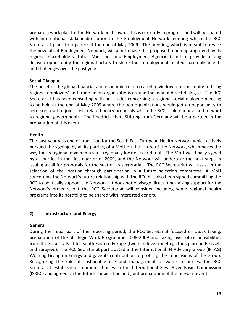prepare a work plan for the Network on its own. This is currently in progress and will be shared with international stakeholders prior to the Employment Network meeting which the RCC Secretariat plans to organize at the end of May 2009. The meeting, which is meant to revive the now latent Employment Network, will aim to have this proposed roadmap approved by its regional stakeholders (Labor Ministries and Employment Agencies) and to provide a long delayed opportunity for regional actors to share their employment-related accomplishments and challenges over the past year.

# **Social Dialogue**

The onset of the global financial and economic crisis created a window of opportunity to bring regional employers' and trade union organizations around the idea of direct dialogue. The RCC Secretariat has been consulting with both sides concerning a regional social dialogue meeting to be held at the end of May 2009 where the two organizations would get an opportunity to agree on a set of joint crisis-related policy proposals which the RCC could endorse and forward to regional governments. The Friedrich Ebert Stiftung from Germany will be a partner in the preparation of this event.

# **Health**

The past year was one of transition for the South East European Health Network which actively pursued the signing, by all its parties, of a MoU on the future of the Network, which paves the way for its regional ownership via a regionally located secretariat. The MoU was finally signed by all parties in the first quarter of 2009, and the Network will undertake the next steps in issuing a call for proposals for the seat of its secretariat. The RCC Secretariat will assist in the selection of the location through participation in a future selection committee. A MoU concerning the Network's future relationship with the RCC has also been signed committing the RCC to politically support the Network. It does not envisage direct fund-raising support for the Network's projects, but the RCC Secretariat will consider including some regional health programs into its portfolio to be shared with interested donors.

# **2) Infrastructure and Energy**

# **General**

During the initial part of the reporting period, the RCC Secretariat focused on stock taking, preparation of the Strategic Work Programme 2008-2009 and taking over of responsibilities from the Stability Pact for South Eastern Europe (two handover meetings took place in Brussels and Sarajevo). The RCC Secretariat participated in the International IFI Advisory Group (IFI AG) Working Group on Energy and gave its contribution to profiling the Conclusions of the Group. Recognizing the role of sustainable use and management of water resources, the RCC Secretariat established communication with the International Sava River Basin Commission (ISRBC) and agreed on the future cooperation and joint preparation of the relevant events.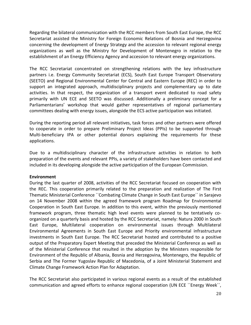Regarding the bilateral communication with the RCC members from South East Europe, the RCC Secretariat assisted the Ministry for Foreign Economic Relations of Bosnia and Herzegovina concerning the development of Energy Strategy and the accession to relevant regional energy organizations as well as the Ministry for Development of Montenegro in relation to the establishment of an Energy Efficiency Agency and accession to relevant energy organizations.

The RCC Secretariat concentrated on strengthening relations with the key infrastructure partners i.e. Energy Community Secretariat (ECS), South East Europe Transport Observatory (SEETO) and Regional Environmental Center for Central and Eastern Europe (REC) in order to support an integrated approach, multidisciplinary projects and complementary up to date activities. In that respect, the organization of a transport event dedicated to road safety primarily with UN ECE and SEETO was discussed. Additionally a preliminary concept for a Parliamentarians' workshop that would gather representatives of regional parliamentary committees dealing with energy issues, alongside the ECS active participation was initiated.

During the reporting period all relevant initiatives, task forces and other partners were offered to cooperate in order to prepare Preliminary Project Ideas (PPIs) to be supported through Multi-beneficiary IPA or other potential donors explaining the requirements for these applications.

Due to a multidisciplinary character of the infrastructure activities in relation to both preparation of the events and relevant PPIs, a variety of stakeholders have been contacted and included in its developing alongside the active participation of the European Commission.

# **Environment**

During the last quarter of 2008, activities of the RCC Secretariat focused on cooperation with the REC. This cooperation primarily related to the preparation and realization of The First Thematic Ministerial Conference ``Combating Climate Change in South East Europe`` in Sarajevo on 14 November 2008 within the agreed framework program Roadmap for Environmental Cooperation in South East Europe. In addition to this event, within the previously mentioned framework program, three thematic high level events were planned to be tentatively coorganized on a quarterly basis and hosted by the RCC Secretariat, namely: Natura 2000 in South East Europe, Multilateral cooperation on environmental issues through Multilateral Environmental Agreements in South East Europe and Priority environmental infrastructure investments in South East Europe. The RCC Secretariat hosted and contributed to a positive output of the Preparatory Expert Meeting that preceded the Ministerial Conference as well as of the Ministerial Conference that resulted in the adoption by the Ministers responsible for Environment of the Republic of Albania, Bosnia and Herzegovina, Montenegro, the Republic of Serbia and The Former Yugoslav Republic of Macedonia, of a Joint Ministerial Statement and Climate Change Framework Action Plan for Adaptation.

The RCC Secretariat also participated in various regional events as a result of the established communication and agreed efforts to enhance regional cooperation (UN ECE ``Energy Week``,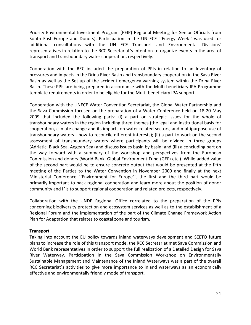Priority Environmental Investment Program (PEIP) Regional Meeting for Senior Officials from South East Europe and Donors). Participation in the UN ECE ``Energy Week`` was used for additional consultations with the UN ECE Transport and Environmental Divisions` representatives in relation to the RCC Secretariat`s intention to organize events in the area of transport and transboundary water cooperation, respectively.

Cooperation with the REC included the preparation of PPIs in relation to an Inventory of pressures and impacts in the Drina River Basin and transboundary cooperation in the Sava River Basin as well as the Set up of the accident emergency warning system within the Drina River Basin. These PPIs are being prepared in accordance with the Multi-beneficiary IPA Programme template requirements in order to be eligible for the Multi-beneficiary IPA support.

Cooperation with the UNECE Water Convention Secretariat, the Global Water Partnership and the Sava Commission focused on the preparation of a Water Conference held on 18-20 May 2009 that included the following parts: (i) a part on strategic issues for the whole of transboundary waters in the region including three themes (the legal and institutional basis for cooperation, climate change and its impacts on water related sectors, and multipurpose use of transboundary waters - how to reconcile different interests); (ii) a part to work on the second assessment of transboundary waters where participants will be divided in three groups (Adriatic, Black Sea, Aegean Sea) and discuss issues basin by basin; and (iii) a concluding part on the way forward with a summary of the workshop and perspectives from the European Commission and donors (World Bank, Global Environment Fund (GEF) etc.). While added value of the second part would be to ensure concrete output that would be presented at the fifth meeting of the Parties to the Water Convention in November 2009 and finally at the next Ministerial Conference ``Environment for Europe``, the first and the third part would be primarily important to back regional cooperation and learn more about the position of donor community and IFIs to support regional cooperation and related projects, respectively.

Collaboration with the UNDP Regional Office correlated to the preparation of the PPIs concerning biodiversity protection and ecosystem services as well as to the establishment of a Regional Forum and the implementation of the part of the Climate Change Framework Action Plan for Adaptation that relates to coastal zone and tourism.

# **Transport**

Taking into account the EU policy towards inland waterways development and SEETO future plans to increase the role of this transport mode, the RCC Secretariat met Sava Commission and World Bank representatives in order to support the full realization of a Detailed Design for Sava River Waterway. Participation in the Sava Commission Workshop on Environmentally Sustainable Management and Maintenance of the Inland Waterways was a part of the overall RCC Secretariat`s activities to give more importance to inland waterways as an economically effective and environmentally friendly mode of transport.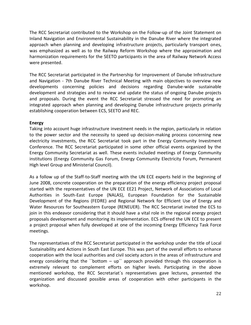The RCC Secretariat contributed to the Workshop on the Follow-up of the Joint Statement on Inland Navigation and Environmental Sustainability in the Danube River where the integrated approach when planning and developing infrastructure projects, particularly transport ones, was emphasized as well as to the Railway Reform Workshop where the approximation and harmonization requirements for the SEETO participants in the area of Railway Network Access were presented.

The RCC Secretariat participated in the Partnership for Improvement of Danube Infrastructure and Navigation - 7th Danube River Technical Meeting with main objectives to overview new developments concerning policies and decisions regarding Danube-wide sustainable development and strategies and to review and update the status of ongoing Danube projects and proposals. During the event the RCC Secretariat stressed the need for promoting an integrated approach when planning and developing Danube infrastructure projects primarily establishing cooperation between ECS, SEETO and REC.

# **Energy**

Taking into account huge infrastructure investment needs in the region, particularly in relation to the power sector and the necessity to speed up decision-making process concerning new electricity investments, the RCC Secretariat took part in the Energy Community Investment Conference. The RCC Secretariat participated in some other official events organized by the Energy Community Secretariat as well. These events included meetings of Energy Community institutions (Energy Community Gas Forum, Energy Community Electricity Forum, Permanent High level Group and Ministerial Council).

As a follow up of the Staff-to-Staff meeting with the UN ECE experts held in the beginning of June 2008, concrete cooperation on the preparation of the energy efficiency project proposal started with the representatives of the UN ECE EE21 Project, Network of Associations of Local Authorities in South-East Europe (NALAS), European Foundation for the Sustainable Development of the Regions (FEDRE) and Regional Network for Efficient Use of Energy and Water Resources for Southeastern Europe (RENEUER). The RCC Secretariat invited the ECS to join in this endeavor considering that it should have a vital role in the regional energy project proposals development and monitoring its implementation. ECS offered the UN ECE to present a project proposal when fully developed at one of the incoming Energy Efficiency Task Force meetings.

The representatives of the RCC Secretariat participated in the workshop under the title of Local Sustainability and Actions in South East Europe. This was part of the overall efforts to enhance cooperation with the local authorities and civil society actors in the areas of infrastructure and energy considering that the "bottom  $-$  up" approach provided through this cooperation is extremely relevant to complement efforts on higher levels. Participating in the above mentioned workshop, the RCC Secretariat`s representatives gave lectures, presented the organization and discussed possible areas of cooperation with other participants in the workshop.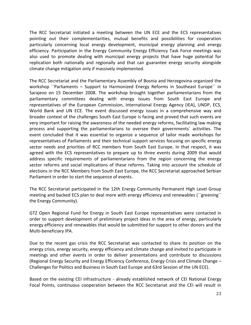The RCC Secretariat initiated a meeting between the UN ECE and the ECS representatives pointing out their complementarities, mutual benefits and possibilities for cooperation particularly concerning local energy development, municipal energy planning and energy efficiency. Participation in the Energy Community Energy Efficiency Task Force meetings was also used to promote dealing with municipal energy projects that have huge potential for replication both nationally and regionally and that can guarantee energy security alongside climate change mitigation only if massively implemented.

The RCC Secretariat and the Parliamentary Assembly of Bosnia and Herzegovina organized the workshop ``Parliaments – Support to Harmonized Energy Reforms in Southeast Europe`` in Sarajevo on 15 December 2008. The workshop brought together parliamentarians from the parliamentary committees dealing with energy issues from South East Europe and representatives of the European Commission, International Energy Agency (IEA), UNDP, ECS, World Bank and UN ECE. The event discussed energy issues in a comprehensive way and broader context of the challenges South East Europe is facing and proved that such events are very important for raising the awareness of the needed energy reforms, facilitating law making process and supporting the parliamentarians to oversee their governments` activities. The event concluded that it was essential to organize a sequence of tailor made workshops for representatives of Parliaments and their technical support services focusing on specific energy sector needs and priorities of RCC members from South East Europe. In that respect, it was agreed with the ECS representatives to prepare up to three events during 2009 that would address specific requirements of parliamentarians from the region concerning the energy sector reforms and social implications of these reforms. Taking into account the schedule of elections in the RCC Members from South East Europe, the RCC Secretariat approached Serbian Parliament in order to start the sequence of events.

The RCC Secretariat participated in the 12th Energy Community Permanent High Level Group meeting and backed ECS plan to deal more with energy efficiency and renewables (``greening`` the Energy Community).

GTZ Open Regional Fund for Energy in South East Europe representatives were contacted in order to support development of preliminary project ideas in the area of energy, particularly energy efficiency and renewables that would be submitted for support to other donors and the Multi-beneficiary IPA.

Due to the recent gas crisis the RCC Secretariat was contacted to share its position on the energy crisis, energy security, energy efficiency and climate change and invited to participate in meetings and other events in order to deliver presentations and contribute to discussions (Regional Energy Security and Energy Efficiency Conference, Energy Crisis and Climate Change – Challenges for Politics and Business in South East Europe and 63rd Session of the UN ECE).

Based on the existing CEI infrastructure - already established network of CEI National Energy Focal Points, continuous cooperation between the RCC Secretariat and the CEI will result in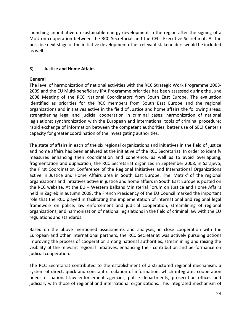launching an initiative on sustainable energy development in the region after the signing of a MoU on cooperation between the RCC Secretariat and the CEI - Executive Secretariat. At the possible next stage of the initiative development other relevant stakeholders would be included as well.

# **3) Justice and Home Affairs**

# **General**

The level of harmonization of national activities with the RCC Strategic Work Programme 2008- 2009 and the EU Multi-beneficiary IPA Programme priorities has been assessed during the June 2008 Meeting of the RCC National Coordinators from South East Europe. The evaluation identified as priorities for the RCC members from South East Europe and the regional organizations and initiatives active in the field of Justice and home affairs the following areas: strengthening legal and judicial cooperation in criminal cases; harmonization of national legislations; synchronization with the European and international tools of criminal procedure; rapid exchange of information between the competent authorities; better use of SECI Center's capacity for greater coordination of the investigating authorities.

The state of affairs in each of the six regional organizations and initiatives in the field of justice and home affairs has been analyzed at the initiative of the RCC Secretariat. In order to identify measures enhancing their coordination and coherence, as well as to avoid overlapping, fragmentation and duplication, the RCC Secretariat organized in September 2008, in Sarajevo, the First Coordination Conference of the Regional Initiatives and International Organizations active in Justice and Home Affairs area in South East Europe. The 'Matrix' of the regional organizations and initiatives active in justice and home affairs in South East Europe is posted on the RCC website. At the EU – Western Balkans Ministerial Forum on Justice and Home Affairs held in Zagreb in autumn 2008, the French Presidency of the EU Council marked the important role that the RCC played in facilitating the implementation of international and regional legal framework on police, law enforcement and judicial cooperation, streamlining of regional organizations, and harmonization of national legislations in the field of criminal law with the EU regulations and standards.

Based on the above mentioned assessments and analyses, in close cooperation with the European and other international partners, the RCC Secretariat was actively pursuing actions improving the process of cooperation among national authorities, streamlining and raising the visibility of the relevant regional initiatives, enhancing their contribution and performance on judicial cooperation.

The RCC Secretariat contributed to the establishment of a structured regional mechanism, a system of direct, quick and constant circulation of information, which integrates cooperation needs of national law enforcement agencies, police departments, prosecution offices and judiciary with those of regional and international organizations. This integrated mechanism of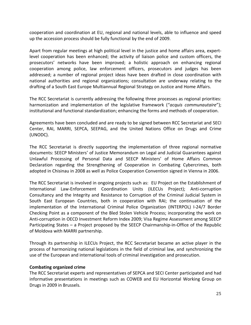cooperation and coordination at EU, regional and national levels, able to influence and speed up the accession process should be fully functional by the end of 2009.

Apart from regular meetings at high political level in the justice and home affairs area, expertlevel cooperation has been enhanced; the activity of liaison police and custom officers, the prosecutors' networks have been improved; a holistic approach on enhancing regional cooperation among police, law enforcement officers, prosecutors and judges has been addressed; a number of regional project ideas have been drafted in close coordination with national authorities and regional organizations; consultation are underway relating to the drafting of a South East Europe Multiannual Regional Strategy on Justice and Home Affairs.

The RCC Secretariat is currently addressing the following three processes as regional priorities: harmonization and implementation of the legislative framework ("*acquis communautaire*"); institutional and functional standardization; enhancing the forms and methods of cooperation.

Agreements have been concluded and are ready to be signed between RCC Secretariat and SECI Center, RAI, MARRI, SEPCA, SEEPAG, and the United Nations Office on Drugs and Crime (UNODC).

The RCC Secretariat is directly supporting the implementation of three regional normative documents: SEECP Ministers' of Justice Memorandum on Legal and Judicial Guarantees against Unlawful Processing of Personal Data and SEECP Ministers' of Home Affairs Common Declaration regarding the Strengthening of Cooperation in Combating Cybercrimes, both adopted in Chisinau in 2008 as well as Police Cooperation Convention signed in Vienna in 2006.

The RCC Secretariat is involved in ongoing projects such as: EU Project on the Establishment of International Law-Enforcement Coordination Units (ILECUs Project); Anti-corruption Consultancy and the Integrity and Resistance to Corruption of the Criminal Judicial System in South East European Countries, both in cooperation with RAI; the continuation of the implementation of the International Criminal Police Organization (INTERPOL) I-24/7 Border Checking Point as a component of the Bled Stolen Vehicle Process; incorporating the work on Anti-corruption in OECD Investment Reform Index 2009; Visa Regime Assessment among SEECP Participating States – a Project proposed by the SEECP Chairmanship-in-Office of the Republic of Moldova with MARRI partnership.

Through its partnership in ILECUs Project, the RCC Secretariat became an active player in the process of harmonizing national legislations in the field of criminal law, and synchronizing the use of the European and international tools of criminal investigation and prosecution.

# **Combating organized crime**

The RCC Secretariat experts and representatives of SEPCA and SECI Center participated and had informative presentations in meetings such as COWEB and EU Horizontal Working Group on Drugs in 2009 in Brussels.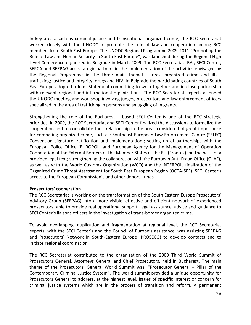In key areas, such as criminal justice and transnational organized crime, the RCC Secretariat worked closely with the UNODC to promote the rule of law and cooperation among RCC members from South East Europe. The UNODC Regional Programme 2009-2011 "Promoting the Rule of Law and Human Security in South East Europe", was launched during the Regional High Level Conference organized in Belgrade in March 2009. The RCC Secretariat, RAI, SECI Center, SEPCA and SEEPAG are strategic partners in the implementation of the activities envisaged by the Regional Programme in the three main thematic areas: organized crime and illicit trafficking; justice and integrity; drugs and HIV. In Belgrade the participating countries of South East Europe adopted a Joint Statement committing to work together and in close partnership with relevant regional and international organizations. The RCC Secretariat experts attended the UNODC meeting and workshop involving judges, prosecutors and law enforcement officers specialized in the area of trafficking in persons and smuggling of migrants.

Strengthening the role of the Bucharest – based SECI Center is one of the RCC strategic priorities. In 2009, the RCC Secretariat and SECI Center finalized the discussions to formalize the cooperation and to consolidate their relationship in the areas considered of great importance for combating organized crime, such as: Southeast European Law Enforcement Centre (SELEC) Convention signature, ratification and implementation;; setting up of partnerships with the European Police Office (EUROPOL) and European Agency for the Management of Operation Cooperation at the External Borders of the Member States of the EU (Frontex) on the basis of a provided legal text; strengthening the collaboration with the European Anti-Fraud Office (OLAF), as well as with the World Customs Organization (WCO) and the INTERPOL; finalization of the Organized Crime Threat Assessment for South East European Region (OCTA-SEE); SECI Center's access to the European Commission's and other donors' funds.

# **Prosecutors' cooperation**

The RCC Secretariat is working on the transformation of the South Eastern Europe Prosecutors' Advisory Group (SEEPAG) into a more visible, effective and efficient network of experienced prosecutors, able to provide real operational support, legal assistance, advice and guidance to SECI Center's liaisons officers in the investigation of trans-border organized crime.

To avoid overlapping, duplication and fragmentation at regional level, the RCC Secretariat experts, with the SECI Center's and the Council of Europe's assistance, was assisting SEEPAG and Prosecutors' Network in South-Eastern Europe (PROSECO) to develop contacts and to initiate regional coordination.

The RCC Secretariat contributed to the organization of the 2009 Third World Summit of Prosecutors General, Attorneys General and Chief Prosecutors, held in Bucharest. The main theme of the Prosecutors' General World Summit was: "Prosecutor General – Pillar of the Contemporary Criminal Justice System". The world summit provided a unique opportunity for Prosecutors General to address, at the highest level, issues of specific interest or concern for criminal justice systems which are in the process of transition and reform. A permanent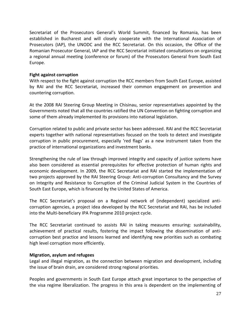Secretariat of the Prosecutors General's World Summit, financed by Romania, has been established in Bucharest and will closely cooperate with the International Association of Prosecutors (IAP), the UNODC and the RCC Secretariat. On this occasion, the Office of the Romanian Prosecutor General, IAP and the RCC Secretariat initiated consultations on organizing a regional annual meeting (conference or forum) of the Prosecutors General from South East Europe.

# **Fight against corruption**

With respect to the fight against corruption the RCC members from South East Europe, assisted by RAI and the RCC Secretariat, increased their common engagement on prevention and countering corruption.

At the 2008 RAI Steering Group Meeting in Chisinau, senior representatives appointed by the Governments noted that all the countries ratified the UN Convention on fighting corruption and some of them already implemented its provisions into national legislation.

Corruption related to public and private sector has been addressed. RAI and the RCC Secretariat experts together with national representatives focused on the tools to detect and investigate corruption in public procurement, especially 'red flags' as a new instrument taken from the practice of international organizations and investment banks.

Strengthening the rule of law through improved integrity and capacity of justice systems have also been considered as essential prerequisites for effective protection of human rights and economic development. In 2009, the RCC Secretariat and RAI started the implementation of two projects approved by the RAI Steering Group: Anti-corruption Consultancy and the Survey on Integrity and Resistance to Corruption of the Criminal Judicial System in the Countries of South East Europe, which is financed by the United States of America.

The RCC Secretariat's proposal on a Regional network of (independent) specialized anticorruption agencies, a project idea developed by the RCC Secretariat and RAI, has be included into the Multi-beneficiary IPA Programme 2010 project cycle.

The RCC Secretariat continued to assists RAI in taking measures ensuring: sustainability, achievement of practical results, fostering the impact following the dissemination of anticorruption best practice and lessons learned and identifying new priorities such as combating high level corruption more efficiently.

# **Migration, asylum and refugees**

Legal and illegal migration, as the connection between migration and development, including the issue of brain drain, are considered strong regional priorities.

Peoples and governments in South East Europe attach great importance to the perspective of the visa regime liberalization. The progress in this area is dependent on the implementing of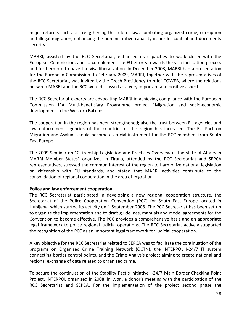major reforms such as: strengthening the rule of law, combating organized crime, corruption and illegal migration, enhancing the administrative capacity in border control and documents security.

MARRI, assisted by the RCC Secretariat, enhanced its capacities to work closer with the European Commission, and to complement the EU efforts towards the visa facilitation process and furthermore to have the visa liberalization. In December 2008, MARRI had a presentation for the European Commission. In February 2009, MARRI, together with the representatives of the RCC Secretariat, was invited by the Czech Presidency to brief COWEB, where the relations between MARRI and the RCC were discussed as a very important and positive aspect.

The RCC Secretariat experts are advocating MARRI in achieving compliance with the European Commission IPA Multi-beneficiary Programme project "Migration and socio-economic development in the Western Balkans ".

The cooperation in the region has been strengthened; also the trust between EU agencies and law enforcement agencies of the countries of the region has increased. The EU Pact on Migration and Asylum should become a crucial instrument for the RCC members from South East Europe.

The 2009 Seminar on "Citizenship Legislation and Practices-Overview of the state of Affairs in MARRI Member States" organized in Tirana, attended by the RCC Secretariat and SEPCA representatives, stressed the common interest of the region to harmonize national legislation on citizenship with EU standards, and stated that MARRI activities contribute to the consolidation of regional cooperation in the area of migration.

# **Police and law enforcement cooperation**

The RCC Secretariat participated in developing a new regional cooperation structure, the Secretariat of the Police Cooperation Convention (PCC) for South East Europe located in Ljubljana, which started its activity on 1 September 2008. The PCC Secretariat has been set up to organize the implementation and to draft guidelines, manuals and model agreements for the Convention to become effective. The PCC provides a comprehensive basis and an appropriate legal framework to police regional judicial operations. The RCC Secretariat actively supported the recognition of the PCC as an important legal framework for judicial cooperation.

A key objective for the RCC Secretariat related to SEPCA was to facilitate the continuation of the programs on Organized Crime Training Network (OCTN), the INTERPOL I-24/7 IT system connecting border control points, and the Crime Analysis project aiming to create national and regional exchange of data related to organized crime.

To secure the continuation of the Stability Pact's initiative I-24/7 Main Border Checking Point Project, INTERPOL organized in 2008, in Lyon, a donor's meeting with the participation of the RCC Secretariat and SEPCA. For the implementation of the project second phase the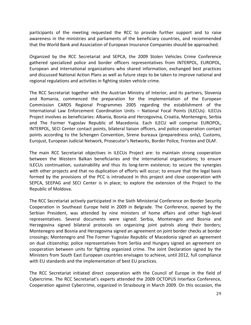participants of the meeting requested the RCC to provide further support and to raise awareness in the ministries and parliaments of the beneficiary countries, and recommended that the World Bank and Association of European Insurance Companies should be approached.

Organized by the RCC Secretariat and SEPCA, the 2009 Stolen Vehicles Crime Conference gathered specialized police and border officers representatives from INTERPOL, EUROPOL, European and international organizations who shared information, exchanged best practices and discussed National Action Plans as well as future steps to be taken to improve national and regional regulations and activities in fighting stolen vehicle crime.

The RCC Secretariat together with the Austrian Ministry of Interior, and its partners, Slovenia and Romania, commenced the preparation for the implementation of the European Commission CARDS Regional Programmes 2005 regarding the establishment of the International Law Enforcement Coordination Units – National Focal Points (ILECUs). ILECUs Project involves as beneficiaries: Albania, Bosnia and Herzegovina, Croatia, Montenegro, Serbia and The Former Yugoslav Republic of Macedonia. Each ILECU will comprise EUROPOL, INTERPOL, SECI Center contact points, bilateral liaison officers, and police cooperation contact points according to the Schengen Convention, Sirene bureaux (preparedness only), Customs, Eurojust, European Judicial Network, Prosecutor's Networks, Border Police, Frontex and OLAF.

The main RCC Secretariat objectives in ILECUs Project are: to maintain strong cooperation between the Western Balkan beneficiaries and the international organizations; to ensure ILECUs continuation, sustainability and thus its long-term existence; to secure the synergies with other projects and that no duplication of efforts will occur; to ensure that the legal basis formed by the provisions of the PCC is introduced in this project and close cooperation with SEPCA, SEEPAG and SECI Center is in place; to explore the extension of the Project to the Republic of Moldova.

The RCC Secretariat actively participated in the Sixth Ministerial Conference on Border Security Cooperation in Southeast Europe held in 2009 in Belgrade. The Conference, opened by the Serbian President, was attended by nine ministers of home affairs and other high-level representatives. Several documents were signed: Serbia, Montenegro and Bosnia and Herzegovina signed bilateral protocols on organizing joint patrols along their borders; Montenegro and Bosnia and Herzegovina signed an agreement on joint border checks at border crossings; Montenegro and The Former Yugoslav Republic of Macedonia signed an agreement on dual citizenship; police representatives from Serbia and Hungary signed an agreement on cooperation between units for fighting organized crime. The Joint Declaration signed by the Ministers from South East European countries envisages to achieve, until 2012, full compliance with EU standards and the implementation of best EU practices.

The RCC Secretariat initiated direct cooperation with the Council of Europe in the field of Cybercrime. The RCC Secretariat's experts attended the 2009 OCTOPUS Interface Conference, Cooperation against Cybercrime, organized in Strasbourg in March 2009. On this occasion, the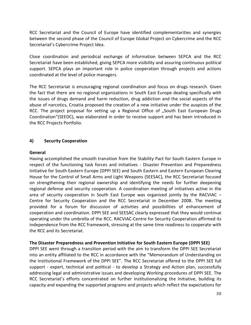RCC Secretariat and the Council of Europe have identified complementarities and synergies between the second phase of the Council of Europe Global Project on Cybercrime and the RCC Secretariat's Cybercrime Project Idea.

Close coordination and periodical exchange of information between SEPCA and the RCC Secretariat have been established, giving SEPCA more visibility and assuring continuous political support. SEPCA plays an important role in police cooperation through projects and actions coordinated at the level of police managers.

The RCC Secretariat is encouraging regional coordination and focus on drugs research. Given the fact that there are no regional organizations in South East Europe dealing specifically with the issues of drugs demand and harm reduction, drug addiction and the social aspects of the abuse of narcotics, Croatia proposed the creation of a new initiative under the auspices of the RCC. The project proposal for setting up a Regional Office of "South East European Drugs Coordination"(SEEDC), was elaborated in order to receive support and has been introduced in the RCC Projects Portfolio.

# **4) Security Cooperation**

# **General**

Having accomplished the smooth transition from the Stability Pact for South Eastern Europe in respect of the functioning task forces and initiatives - Disaster Prevention and Preparedness Initiative for South Eastern Europe (DPPI SEE) and South Eastern and Eastern European Clearing House for the Control of Small Arms and Light Weapons (SEESAC), the RCC Secretariat focused on strengthening their regional ownership and identifying the needs for further deepening regional defense and security cooperation. A coordination meeting of initiatives active in the area of security cooperation in South East Europe was organized jointly by the RACVIAC – Centre for Security Cooperation and the RCC Secretariat in December 2008. The meeting provided for a forum for discussion of activities and possibilities of enhancement of cooperation and coordination. DPPI SEE and SEESAC clearly expressed that they would continue operating under the umbrella of the RCC. RACVIAC-Centre for Security Cooperation affirmed its independence from the RCC framework, stressing at the same time readiness to cooperate with the RCC and its Secretariat.

# **The Disaster Preparedness and Prevention Initiative for South Eastern Europe (DPPI SEE)**

DPPI SEE went through a transition period with the aim to transform the DPPI SEE Secretariat into an entity affiliated to the RCC in accordance with the "Memorandum of Understanding on the Institutional Framework of the DPPI SEE". The RCC Secretariat offered to the DPPI SEE full support - expert, technical and political - to develop a Strategy and Action plan, successfully addressing legal and administrative issues and developing Working procedures of DPPI SEE. The RCC Secretariat's efforts concentrated on further institutionalizing the Initiative, building its capacity and expanding the supported programs and projects which reflect the expectations for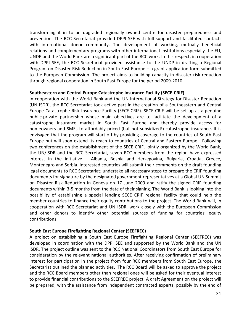transforming it in to an upgraded regionally owned centre for disaster preparedness and prevention. The RCC Secretariat provided DPPI SEE with full support and facilitated contacts with international donor community. The development of working, mutually beneficial relations and complementary programs with other international institutions especially the EU, UNDP and the World Bank are a significant part of the RCC work. In this respect, in cooperation with DPPI SEE, the RCC Secretariat provided assistance to the UNDP in drafting a Regional Program on Disaster Risk Reduction in South East Europe – a grant application form submitted to the European Commission. The project aims to building capacity in disaster risk reduction through regional cooperation in South East Europe for the period 2009-2010.

# **Southeastern and Central Europe Catastrophe Insurance Facility (SECE-CRIF)**

In cooperation with the World Bank and the UN International Strategy for Disaster Reduction (UN ISDR), the RCC Secretariat took active part in the creation of a Southeastern and Central Europe Catastrophe Risk Insurance Facility (SECE-CRIF). SECE CRIF will be set up as a genuine public-private partnership whose main objectives are to facilitate the development of a catastrophe insurance market in South East Europe and thereby provide access for homeowners and SMEs to affordably priced (but not subsidized!) catastrophe insurance. It is envisaged that the program will start off by providing coverage to the countries of South East Europe but will soon extend its reach to countries of Central and Eastern Europe. Following two conferences on the establishment of the SECE CRIF, jointly organized by the World Bank, the UN/ISDR and the RCC Secretariat, seven RCC members from the region have expressed interest in the initiative – Albania, Bosnia and Herzegovina, Bulgaria, Croatia, Greece, Montenegro and Serbia. Interested countries will submit their comments on the draft founding legal documents to RCC Secretariat; undertake all necessary steps to prepare the CRIF founding documents for signature by the designated government representatives at a Global UN Summit on Disaster Risk Reduction in Geneva on 17 June 2009 and ratify the signed CRIF founding documents within 3-5 months from the date of their signing. The World Bank is looking into the possibility of establishing a special lending SECE CRIF regional facility that could help the member countries to finance their equity contributions to the project. The World Bank will, in cooperation with RCC Secretariat and UN ISDR, work closely with the European Commission and other donors to identify other potential sources of funding for countries' equity contributions.

# **South East Europe Firefighting Regional Center (SEEFREC)**

A project on establishing a South East Europe Firefighting Regional Center (SEEFREC) was developed in coordination with the DPPI SEE and supported by the World Bank and the UN ISDR. The project outline was sent to the RCC National Coordinators from South East Europe for consideration by the relevant national authorities. After receiving confirmation of preliminary interest for participation in the project from four RCC members from South East Europe, the Secretariat outlined the planned activities. The RCC Board will be asked to approve the project and the RCC Board members other than regional ones will be asked for their eventual interest to provide financial contributions to the SEEFREC project. A draft Agreement on the project will be prepared, with the assistance from independent contracted experts, possibly by the end of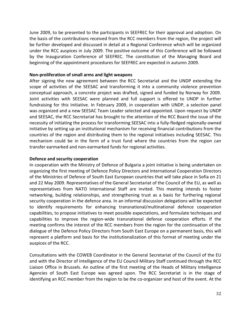June 2009, to be presented to the participants in SEEFREC for their approval and adoption. On the basis of the contributions received from the RCC members from the region, the project will be further developed and discussed in detail at a Regional Conference which will be organized under the RCC auspices in July 2009. The positive outcome of this Conference will be followed by the Inauguration Conference of SEEFREC. The constitution of the Managing Board and beginning of the appointment procedures for SEEFREC are expected in autumn 2009.

# **Non-proliferation of small arms and light weapons**

After signing the new agreement between the RCC Secretariat and the UNDP extending the scope of activities of the SEESAC and transforming it into a community violence prevention conceptual approach, a concrete project was drafted, signed and funded by Norway for 2009. Joint activities with SEESAC were planned and full support is offered to UNDP in further fundraising for this Initiative. In February 2009, in cooperation with UNDP, a selection panel was organized and a new SEESAC Team Leader selected and appointed. Upon request by UNDP and SEESAC, the RCC Secretariat has brought to the attention of the RCC Board the issue of the necessity of initiating the process for transforming SEESAC into a fully-fledged regionally-owned initiative by setting up an institutional mechanism for receiving financial contributions from the countries of the region and distributing them to the regional initiatives including SEESAC. This mechanism could be in the form of a trust fund where the countries from the region can transfer earmarked and non-earmarked funds for regional activities.

# **Defence and security cooperation**

In cooperation with the Ministry of Defence of Bulgaria a joint initiative is being undertaken on organizing the first meeting of Defence Policy Directors and International Cooperation Directors of the Ministries of Defence of South East European countries that will take place in Sofia on 21 and 22 May 2009. Representatives of the General Secretariat of the Council of the EU, as well as representatives from NATO International Staff are invited. This meeting intends to foster networking, building relationships, and strengthening trust as a basis for furthering regional security cooperation in the defence area. In an informal discussion delegations will be expected to identify requirements for enhancing transnational/multinational defence cooperation capabilities, to propose initiatives to meet possible expectations, and formulate techniques and capabilities to improve the region-wide transnational defense cooperation efforts. If the meeting confirms the interest of the RCC members from the region for the continuation of the dialogue of the Defence Policy Directors from South East Europe on a permanent basis, this will represent a platform and basis for the institutionalization of this format of meeting under the auspices of the RCC.

Consultations with the COWEB Coordinator in the General Secretariat of the Council of the EU and with the Director of Intelligence of the EU Council Military Staff continued through the RCC Liaison Office in Brussels. An outline of the first meeting of the Heads of Military Intelligence Agencies of South East Europe was agreed upon. The RCC Secretariat is in the stage of identifying an RCC member from the region to be the co-organizer and host of the event. At the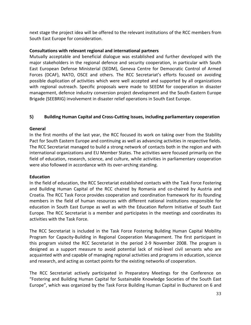next stage the project idea will be offered to the relevant institutions of the RCC members from South East Europe for consideration.

# **Consultations with relevant regional and international partners**

Mutually acceptable and beneficial dialogue was established and further developed with the major stakeholders in the regional defence and security cooperation, in particular with South East European Defense Ministerial (SEDM), Geneva Centre for Democratic Control of Armed Forces (DCAF), NATO, OSCE and others. The RCC Secretariat's efforts focused on avoiding possible duplication of activities which were well accepted and supported by all organizations with regional outreach. Specific proposals were made to SEEDM for cooperation in disaster management, defence industry conversion project development and the South-Eastern Europe Brigade (SEEBRIG) involvement in disaster relief operations in South East Europe.

# **5) Building Human Capital and Cross-Cutting Issues, including parliamentary cooperation**

# **General**

In the first months of the last year, the RCC focused its work on taking over from the Stability Pact for South Eastern Europe and continuing as well as advancing activities in respective fields. The RCC Secretariat managed to build a strong network of contacts both in the region and with international organizations and EU Member States. The activities were focused primarily on the field of education, research, science, and culture, while activities in parliamentary cooperation were also followed in accordance with its over-arching standing.

# **Education**

In the field of education, the RCC Secretariat established contacts with the Task Force Fostering and Building Human Capital of the RCC chaired by Romania and co-chaired by Austria and Croatia. The RCC Task Force provides cooperation and coordination framework for its founding members in the field of human resources with different national institutions responsible for education in South East Europe as well as with the Education Reform Initiative of South East Europe. The RCC Secretariat is a member and participates in the meetings and coordinates its activities with the Task Force.

The RCC Secretariat is included in the Task Force Fostering Building Human Capital Mobility Program for Capacity-Building in Regional Cooperation Management. The first participant in this program visited the RCC Secretariat in the period 2-9 November 2008. The program is designed as a support measure to avoid potential lack of mid-level civil servants who are acquainted with and capable of managing regional activities and programs in education, science and research, and acting as contact points for the existing networks of cooperation.

The RCC Secretariat actively participated in Preparatory Meetings for the Conference on "Fostering and Building Human Capital for Sustainable Knowledge Societies of the South East Europe", which was organized by the Task Force Building Human Capital in Bucharest on 6 and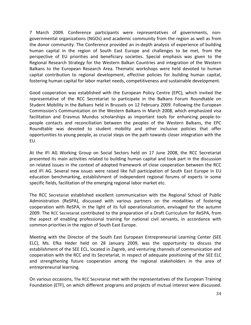7 March 2009. Conference participants were representatives of governments, nongovernmental organizations (NGOs) and academic community from the region as well as from the donor community. The Conference provided an in-depth analysis of experience of building human capital in the region of South East Europe and challenges to be met, from the perspective of EU priorities and beneficiary societies. Special emphasis was given to the Regional Research Strategy for the Western Balkan Countries and integration of the Western Balkans to the European Research Area. Thematic workshops were held devoted to human capital contribution to regional development, effective policies for building human capital, fostering human capital for labor market needs, competitiveness and sustainable development.

Good cooperation was established with the European Policy Centre (EPC), which invited the representative of the RCC Secretariat to participate in the Balkans Forum Roundtable on Student Mobility in the Balkans held in Brussels on 12 February 2009. Following the European Commission's Communication on the Western Balkans in March 2008, which emphasized visa facilitation and Erasmus Mundus scholarships as important tools for enhancing people-topeople contacts and reconciliation between the peoples of the Western Balkans, the EPC Roundtable was devoted to student mobility and other inclusive policies that offer opportunities to young people, as crucial steps on the path towards closer integration with the EU.

At the IFI AG Working Group on Social Sectors held on 17 June 2008, the RCC Secretariat presented its main activities related to building human capital and took part in the discussion on related issues in the context of adopted framework of close cooperation between the RCC and IFI AG. Several new issues were raised like full participation of South East Europe in EU education benchmarking, establishment of independent regional forums of experts in some specific fields, facilitation of the emerging regional labor market etc.

The RCC Secretariat established excellent communication with the Regional School of Public Administration (ReSPA), discussed with various partners on the modalities of fostering cooperation with ReSPA, in the light of its full operationalization, envisaged for the autumn 2009. The RCC Secretariat contributed to the preparation of a Draft Curriculum for ReSPA, from the aspect of enabling professional training for national civil servants, in accordance with common priorities in the region of South East Europe.

Meeting with the Director of the South East European Entrepreneurial Learning Center (SEE ELC), Ms. Efka Heder held on 28 January 2009, was the opportunity to discuss the establishment of the SEE ECL, located in Zagreb, and venturing channels of communication and cooperation with the RCC and its Secretariat, in respect of adequate positioning of the SEE ELC and strengthening future cooperation among the regional stakeholders in the area of entrepreneurial learning.

On various occasions, The RCC Secretariat met with the representatives of the European Training Foundation (ETF), on which different programs and projects of mutual interest were discussed.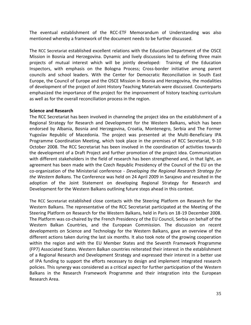The eventual establishment of the RCC-ETF Memorandum of Understanding was also mentioned whereby a framework of the document needs to be further discussed.

The RCC Secretariat established excellent relations with the Education Department of the OSCE Mission in Bosnia and Herzegovina. Dynamic and lively discussions led to defining three main projects of mutual interest which will be jointly developed: Training of the Education Inspectors, with emphasis on the Bologna Process; Cross-border initiative among parent councils and school leaders. With the Center for Democratic Reconciliation in South East Europe, the Council of Europe and the OSCE Mission in Bosnia and Herzegovina, the modalities of development of the project of Joint History Teaching Materials were discussed. Counterparts emphasized the importance of the project for the improvement of history teaching curriculum as well as for the overall reconciliation process in the region.

#### **Science and Research**

The RCC Secretariat has been involved in channeling the project idea on the establishment of a Regional Strategy for Research and Development for the Western Balkans, which has been endorsed by Albania, Bosnia and Herzegovina, Croatia, Montenegro, Serbia and The Former Yugoslav Republic of Macedonia. The project was presented at the Multi-Beneficiary IPA Programme Coordination Meeting, which took place in the premises of RCC Secretariat, 9-10 October 2008. The RCC Secretariat has been involved in the coordination of activities towards the development of a Draft Project and further promotion of the project idea. Communication with different stakeholders in the field of research has been strengthened and, in that light, an agreement has been made with the Czech Republic Presidency of the Council of the EU on the co-organization of the Ministerial conference - *Developing the Regional Research Strategy for the Western Balkans.* The Conference was held on 24 April 2009 in Sarajevo and resulted in the adoption of the Joint Statement on developing Regional Strategy for Research and Development for the Western Balkans outlining future steps ahead in this context.

The RCC Secretariat established close contacts with the Steering Platform on Research for the Western Balkans. The representative of the RCC Secretariat participated at the Meeting of the Steering Platform on Research for the Western Balkans, held in Paris on 18-19 December 2008. The Platform was co-chaired by the French Presidency of the EU Council, Serbia on behalf of the Western Balkan Countries, and the European Commission. The discussion on recent developments on Science and Technology for the Western Balkans, gave an overview of the different actions taken during the last six months. It also took note of the growing cooperation within the region and with the EU Member States and the Seventh Framework Programme (FP7) Associated States. Western Balkan countries reiterated their interest in the establishment of a Regional Research and Development Strategy and expressed their interest in a better use of IPA funding to support the efforts necessary to design and implement integrated research policies. This synergy was considered as a critical aspect for further participation of the Western Balkans in the Research Framework Programme and their integration into the European Research Area.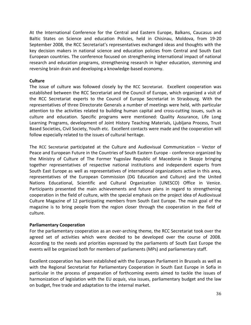At the International Conference for the Central and Eastern Europe, Balkans, Caucasus and Baltic States on Science and education Policies, held in Chisinau, Moldova, from 19-20 September 2008, the RCC Secretariat's representatives exchanged ideas and thoughts with the key decision makers in national science and education policies from Central and South East European countries. The conference focused on strengthening international impact of national research and education programs, strengthening research in higher education, stemming and reversing brain drain and developing a knowledge-based economy.

# **Culture**

The issue of culture was followed closely by the RCC Secretariat. Excellent cooperation was established between the RCC Secretariat and the Council of Europe, which organized a visit of the RCC Secretariat experts to the Council of Europe Secretariat in Strasbourg. With the representatives of three Directorate Generals a number of meetings were held, with particular attention to the activities related to building human capital and cross-cutting issues, such as culture and education. Specific programs were mentioned: Quality Assurance, Life Long Learning Programs, development of Joint History Teaching Materials, Ljubljana Process, Trust Based Societies, Civil Society, Youth etc. Excellent contacts were made and the cooperation will follow especially related to the issues of cultural heritage.

The RCC Secretariat participated at the Culture and Audiovisual Communication – Vector of Peace and European Future in the Countries of South Eastern Europe - conference organized by the Ministry of Culture of The Former Yugoslav Republic of Macedonia in Skopje bringing together representatives of respective national institutions and independent experts from South East Europe as well as representatives of international organizations active in this area, representatives of the European Commission (DG Education and Culture) and the United Nations Educational, Scientific and Cultural Organization (UNESCO) Office in Venice. Participants presented the main achievements and future plans in regard to strengthening cooperation in the field of culture, with the special emphasis on the project idea of Audiovisual Culture Magazine of 12 participating members from South East Europe. The main goal of the magazine is to bring people from the region closer through the cooperation in the field of culture.

# **Parliamentary Cooperation**

For the parliamentary cooperation as an over-arching theme, the RCC Secretariat took over the agreed set of activities which were decided to be developed over the course of 2008. According to the needs and priorities expressed by the parliaments of South East Europe the events will be organized both for members of parliaments (MPs) and parliamentary staff.

Excellent cooperation has been established with the European Parliament in Brussels as well as with the Regional Secretariat for Parliamentary Cooperation in South East Europe in Sofia in particular in the process of preparation of forthcoming events aimed to tackle the issues of harmonization of legislation with the EU *acquis*, visa issues, parliamentary budget and the law on budget, free trade and adaptation to the internal market.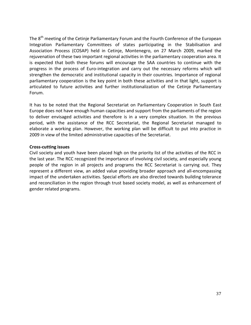The 8<sup>th</sup> meeting of the Cetinje Parliamentary Forum and the Fourth Conference of the European Integration Parliamentary Committees of states participating in the Stabilisation and Association Process (COSAP) held in Cetinje, Montenegro, on 27 March 2009, marked the rejuvenation of these two important regional activities in the parliamentary cooperation area. It is expected that both these forums will encourage the SAA countries to continue with the progress in the process of Euro-integration and carry out the necessary reforms which will strengthen the democratic and institutional capacity in their countries. Importance of regional parliamentary cooperation is the key point in both these activities and in that light, support is articulated to future activities and further institutionalization of the Cetinje Parliamentary Forum.

It has to be noted that the Regional Secretariat on Parliamentary Cooperation in South East Europe does not have enough human capacities and support from the parliaments of the region to deliver envisaged activities and therefore is in a very complex situation. In the previous period, with the assistance of the RCC Secretariat, the Regional Secretariat managed to elaborate a working plan. However, the working plan will be difficult to put into practice in 2009 in view of the limited administrative capacities of the Secretariat.

# **Cross-cutting issues**

Civil society and youth have been placed high on the priority list of the activities of the RCC in the last year. The RCC recognized the importance of involving civil society, and especially young people of the region in all projects and programs the RCC Secretariat is carrying out. They represent a different view, an added value providing broader approach and all-encompassing impact of the undertaken activities. Special efforts are also directed towards building tolerance and reconciliation in the region through trust based society model, as well as enhancement of gender related programs.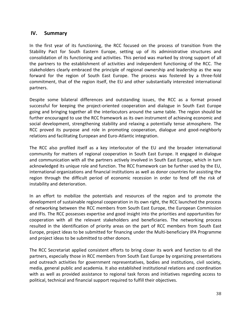# **IV. Summary**

In the first year of its functioning, the RCC focused on the process of transition from the Stability Pact for South Eastern Europe, setting up of its administrative structures and consolidation of its functioning and activities. This period was marked by strong support of all the partners to the establishment of activities and independent functioning of the RCC. The stakeholders clearly embraced the principle of regional ownership and leadership as the way forward for the region of South East Europe. The process was fostered by a three-fold commitment, that of the region itself, the EU and other substantially interested international partners.

Despite some bilateral differences and outstanding issues, the RCC as a format proved successful for keeping the project-oriented cooperation and dialogue in South East Europe going and bringing together all the interlocutors around the same table. The region should be further encouraged to use the RCC framework as its own instrument of achieving economic and social development, strengthening stability and relaxing a potentially tense atmosphere. The RCC proved its purpose and role in promoting cooperation, dialogue and good-neighborly relations and facilitating European and Euro-Atlantic integration.

The RCC also profiled itself as a key interlocutor of the EU and the broader international community for matters of regional cooperation in South East Europe. It engaged in dialogue and communication with all the partners actively involved in South East Europe, which in turn acknowledged its unique role and function. The RCC framework can be further used by the EU, international organizations and financial institutions as well as donor countries for assisting the region through the difficult period of economic recession in order to fend off the risk of instability and deterioration.

In an effort to mobilize the potentials and resources of the region and to promote the development of sustainable regional cooperation in its own right, the RCC launched the process of networking between the RCC members from South East Europe, the European Commission and IFIs. The RCC possesses expertise and good insight into the priorities and opportunities for cooperation with all the relevant stakeholders and beneficiaries. The networking process resulted in the identification of priority areas on the part of RCC members from South East Europe, project ideas to be submitted for financing under the Multi-beneficiary IPA Programme and project ideas to be submitted to other donors.

The RCC Secretariat applied consistent efforts to bring closer its work and function to all the partners, especially those in RCC members from South East Europe by organizing presentations and outreach activities for government representatives, bodies and institutions, civil society, media, general public and academia. It also established institutional relations and coordination with as well as provided assistance to regional task forces and initiatives regarding access to political, technical and financial support required to fulfill their objectives.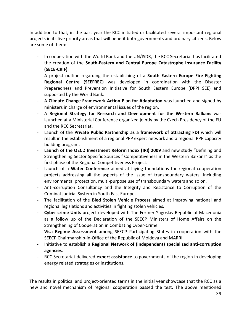In addition to that, in the past year the RCC initiated or facilitated several important regional projects in its five priority areas that will benefit both governments and ordinary citizens. Below are some of them:

- In cooperation with the World Bank and the UN/ISDR, the RCC Secretariat has facilitated the creation of the **South-Eastern and Central Europe Catastrophe Insurance Facility (SECE-CRIF)**.
- A project outline regarding the establishing of a **South Eastern Europe Fire Fighting Regional Centre (SEEFREC)** was developed in coordination with the Disaster Preparedness and Prevention Initiative for South Eastern Europe (DPPI SEE) and supported by the World Bank.
- A **Climate Change Framework Action Plan for Adaptation** was launched and signed by ministers in charge of environmental issues of the region.
- A **Regional Strategy for Research and Development for the Western Balkans** was launched at a Ministerial Conference organized jointly by the Czech Presidency of the EU and the RCC Secretariat.
- Launch of the **Private Public Partnership as a framework of attracting FDI** which will result in the establishment of a regional PPP expert network and a regional PPP capacity building program.
- **Launch of the OECD Investment Reform Index (IRI) 2009** and new study "Defining and Strengthening Sector Specific Sources f Competitiveness in the Western Balkans" as the first phase of the Regional Competitiveness Project.
- Launch of a **Water Conference** aimed at laying foundations for regional cooperation projects addressing all the aspects of the issue of transboundary waters, including environmental protection, multi-purpose use of transboundary waters and so on.
- Anti-corruption Consultancy and the Integrity and Resistance to Corruption of the Criminal Judicial System in South East Europe.
- The facilitation of the **Bled Stolen Vehicle Process** aimed at improving national and regional legislations and activities in fighting stolen vehicles.
- **Cyber crime Units** project developed with The Former Yugoslav Republic of Macedonia as a follow up of the Declaration of the SEECP Ministers of Home Affairs on the Strengthening of Cooperation in Combating Cyber-Crime.
- **Visa Regime Assessment** among SEECP Participating States in cooperation with the SEECP Chairmanship-in-Office of the Republic of Moldova and MARRI.
- Initiative to establish a **Regional Network of (independent) specialized anti-corruption agencies**.
- RCC Secretariat delivered **expert assistance** to governments of the region in developing energy related strategies or institutions.

The results in political and project-oriented terms in the initial year showcase that the RCC as a new and novel mechanism of regional cooperation passed the test. The above mentioned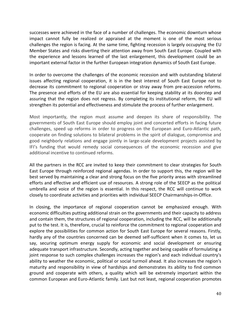successes were achieved in the face of a number of challenges. The economic downturn whose impact cannot fully be realized or appraised at the moment is one of the most serious challenges the region is facing. At the same time, fighting recession is largely occupying the EU Member States and risks diverting their attention away from South East Europe. Coupled with the experience and lessons learned of the last enlargement, this development could be an important external factor in the further European integration dynamics of South East Europe.

In order to overcome the challenges of the economic recession and with outstanding bilateral issues affecting regional cooperation, it is in the best interest of South East Europe not to decrease its commitment to regional cooperation or stray away from pre-accession reforms. The presence and efforts of the EU are also essential for keeping stability at its doorstep and assuring that the region does not regress. By completing its institutional reform, the EU will strengthen its potential and effectiveness and stimulate the process of further enlargement.

Most importantly, the region must assume and deepen its share of responsibility. The governments of South East Europe should employ joint and concerted efforts in facing future challenges, speed up reforms in order to progress on the European and Euro-Atlantic path, cooperate on finding solutions to bilateral problems in the spirit of dialogue, compromise and good neighborly relations and engage jointly in large-scale development projects assisted by IFI's funding that would remedy social consequences of the economic recession and give additional incentive to continued reforms.

All the partners in the RCC are invited to keep their commitment to clear strategies for South East Europe through reinforced regional agendas. In order to support this, the region will be best served by maintaining a clear and strong focus on the five priority areas with streamlined efforts and effective and efficient use of resources. A strong role of the SEECP as the political umbrella and voice of the region is essential. In this respect, the RCC will continue to work closely to coordinate activities and priorities with individual SEECP Chairmanships-in-Office.

In closing, the importance of regional cooperation cannot be emphasized enough. With economic difficulties putting additional strain on the governments and their capacity to address and contain them, the structures of regional cooperation, including the RCC, will be additionally put to the test. It is, therefore, crucial to reinforce the commitment to regional cooperation and explore the possibilities for common action for South East Europe for several reasons. Firstly, hardly any of the countries concerned can be deemed self-sufficient when it comes to, let us say, securing optimum energy supply for economic and social development or ensuring adequate transport infrastructure. Secondly, acting together and being capable of formulating a joint response to such complex challenges increases the region's and each individual country's ability to weather the economic, political or social turmoil ahead. It also increases the region's maturity and responsibility in view of hardships and demonstrates its ability to find common ground and cooperate with others, a quality which will be extremely important within the common European and Euro-Atlantic family. Last but not least, regional cooperation promotes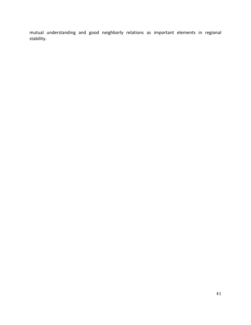mutual understanding and good neighborly relations as important elements in regional stability.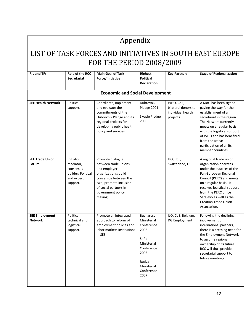# Appendix

# LIST OF TASK FORCES AND INITIATIVES IN SOUTH EAST EUROPE FOR THE PERIOD 2008/2009

| <b>RIs and TFs</b>                      | <b>Role of the RCC</b><br><b>Secretariat</b>                                          | <b>Main Goal of Task</b><br>Force/Initiative                                                                                                                                                 | <b>Highest</b><br><b>Political</b><br><b>Declaration</b>                                                                                                 | <b>Key Partners</b>                                                | <b>Stage of Regionalization</b>                                                                                                                                                                                                                                                                 |  |
|-----------------------------------------|---------------------------------------------------------------------------------------|----------------------------------------------------------------------------------------------------------------------------------------------------------------------------------------------|----------------------------------------------------------------------------------------------------------------------------------------------------------|--------------------------------------------------------------------|-------------------------------------------------------------------------------------------------------------------------------------------------------------------------------------------------------------------------------------------------------------------------------------------------|--|
|                                         |                                                                                       | <b>Economic and Social Development</b>                                                                                                                                                       |                                                                                                                                                          |                                                                    |                                                                                                                                                                                                                                                                                                 |  |
| <b>SEE Health Network</b>               | Political<br>support.                                                                 | Coordinate, implement<br>and evaluate the<br>commitments of the<br>Dubrovnik Pledge and its<br>regional projects for<br>developing public health<br>policy and services.                     | Dubrovnik<br>Pledge 2001<br>Skopje Pledge<br>2005                                                                                                        | WHO, CoE,<br>bilateral donors to<br>individual health<br>projects. | A MoU has been signed<br>paving the way for the<br>establishment of a<br>secretariat in the region.<br>The Network currently<br>meets on a regular basis<br>with the logistical support<br>of WHO and has benefited<br>from the active<br>participation of all its<br>member countries.         |  |
| <b>SEE Trade Union</b><br>Forum         | Initiator,<br>mediator,<br>consensus-<br>builder; Political<br>and expert<br>support. | Promote dialogue<br>between trade unions<br>and employer<br>organizations; build<br>consensus between the<br>two; promote inclusion<br>of social partners in<br>government policy<br>making. |                                                                                                                                                          | ILO, CoE,<br>Switzerland, FES                                      | A regional trade union<br>organization operates<br>under the auspices of the<br>Pan-European Regional<br>Council (PERC) and meets<br>on a regular basis. It<br>receives logistical support<br>from the PERC office in<br>Sarajevo as well as the<br><b>Croatian Trade Union</b><br>Association. |  |
| <b>SEE Employment</b><br><b>Network</b> | Political,<br>technical and<br>logistical<br>support.                                 | Promote an integrated<br>approach to reform of<br>employment policies and<br>labor markets institutions<br>in SEE.                                                                           | <b>Bucharest</b><br>Ministerial<br>Conference<br>2003<br>Sofia<br>Ministerial<br>Conference<br>2005<br><b>Budva</b><br>Ministerial<br>Conference<br>2007 | ILO, CoE, Belgium,<br>DG Employment                                | Following the declining<br>involvement of<br>international partners,<br>there is a pressing need for<br>the Employment Network<br>to assume regional<br>ownership of its future.<br>RCC will thus provide<br>secretarial support to<br>future meetings.                                         |  |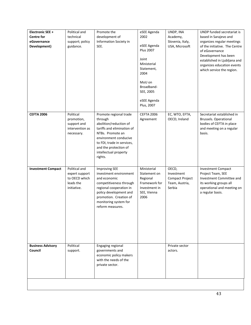| Electronic SEE +<br><b>Centre for</b><br>eGovernance<br>Development) | Political and<br>technical<br>support; policy<br>guidance.                   | Promote the<br>development of<br>Information Society in<br>SEE.                                                                                                                                                                   | eSEE Agenda<br>2002<br>eSEE Agenda<br><b>Plus 2007</b><br>Joint<br>Ministerial<br>Statement,<br>2004<br>MoU on<br>Broadband-<br>SEE, 2005<br>eSEE Agenda<br>Plus, 2007 | UNDP, INA<br>Academy,<br>Slovenia, Italy,<br>USA, Microsoft        | UNDP funded secretariat is<br>based in Sarajevo and<br>organizes regular meetings<br>of the initiative. The Centre<br>of eGovernance<br>Development has been<br>established in Ljubljana and<br>organizes education events<br>which service the region. |
|----------------------------------------------------------------------|------------------------------------------------------------------------------|-----------------------------------------------------------------------------------------------------------------------------------------------------------------------------------------------------------------------------------|------------------------------------------------------------------------------------------------------------------------------------------------------------------------|--------------------------------------------------------------------|---------------------------------------------------------------------------------------------------------------------------------------------------------------------------------------------------------------------------------------------------------|
| <b>CEFTA 2006</b>                                                    | Political<br>promotion,<br>support and<br>intervention as<br>necessary.      | Promote regional trade<br>through<br>abolition/reduction of<br>tariffs and elimination of<br>NTBs. Promote an<br>environment conducive<br>to FDI, trade in services,<br>and the protection of<br>intellectual property<br>rights. | <b>CEFTA 2006</b><br>Agreement                                                                                                                                         | EC, WTO, EFTA,<br>OECD, Ireland                                    | Secretariat established in<br><b>Brussels. Operational</b><br>bodies of CEFTA in place<br>and meeting on a regular<br>basis.                                                                                                                            |
| <b>Investment Compact</b>                                            | Political and<br>expert support<br>to OECD which<br>leads the<br>initiative. | <b>Improving SEE</b><br>investment environment<br>and economic<br>competitiveness through<br>regional cooperation in<br>policy development and<br>promotion. Creation of<br>monitoring system for<br>reform measures.             | Ministerial<br>Statement on<br>Regional<br>Framework for<br>Investment in<br>SEE, Vienna<br>2006                                                                       | OECD,<br>Investment<br>Compact Project<br>Team, Austria,<br>Serbia | <b>Investment Compact</b><br>Project Team, SEE<br>Investment Committee and<br>its working groups all<br>operational and meeting on<br>a regular basis.                                                                                                  |
| <b>Business Advisory</b><br>Council                                  | Political<br>support.                                                        | Engaging regional<br>governments and<br>economic policy makers<br>with the needs of the<br>private sector.                                                                                                                        |                                                                                                                                                                        | Private sector<br>actors.                                          |                                                                                                                                                                                                                                                         |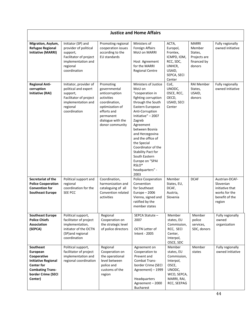|                                                                                                                                                     | <b>Justice and Home Affairs</b>                                                                                                        |                                                                                                                                                                   |                                                                                                                                                                                                                                                                                                                                                                                |                                                                                                                  |                                                                            |                                                                                             |  |  |  |  |
|-----------------------------------------------------------------------------------------------------------------------------------------------------|----------------------------------------------------------------------------------------------------------------------------------------|-------------------------------------------------------------------------------------------------------------------------------------------------------------------|--------------------------------------------------------------------------------------------------------------------------------------------------------------------------------------------------------------------------------------------------------------------------------------------------------------------------------------------------------------------------------|------------------------------------------------------------------------------------------------------------------|----------------------------------------------------------------------------|---------------------------------------------------------------------------------------------|--|--|--|--|
| Migration, Asylum,<br><b>Refugee Regional</b><br><b>Initiative (MARRI)</b>                                                                          | Initiator (SP) and<br>provider of political<br>support,<br>Facilitator of project<br>implementation and<br>regional<br>coordination    | Promoting regional<br>cooperation issues<br>according to the<br>EU standards                                                                                      | Ministers of<br>Foreign Affairs<br>MoU on MARRI<br>Host Agreement<br>for the MARRI<br><b>Regional Centre</b>                                                                                                                                                                                                                                                                   | ACTA,<br>Europol,<br>Frontex,<br>ICMPD, IOM,<br>RCC, SDC,<br>UNHCR,<br>USAID,<br>SEPCA, SECI<br>Center           | <b>MARRI</b><br>Member<br>States,<br>Projects are<br>financed by<br>donors | Fully regionally<br>owned initiative                                                        |  |  |  |  |
| <b>Regional Anti-</b><br>corruption<br><b>Initiative (RAI)</b>                                                                                      | Initiator, provider of<br>political and expert<br>support,<br>Facilitator of project<br>implementation and<br>regional<br>coordination | Promoting<br>governmental<br>anticorruption<br>activities<br>coordination,<br>optimization of<br>efforts and<br>permanent<br>dialogue with the<br>donor community | Ministers of Justice<br>MoU on<br>"cooperation in<br>fighting corruption<br>through the South<br>Eastern European<br>Anti-Corruption<br>Initiative" - 2007<br>Zagreb<br>Agreement<br>between Bosnia<br>and Herzegovina<br>and the office of<br>the Special<br>Coordinator of the<br>Stability Pact for<br>South Eastern<br>Europe on "SPAI<br>RSLO*<br>headquarters" -<br>2003 | CoE,<br>UNODC,<br>OSCE, RCC,<br>OECD,<br>USAID, SECI<br>Center                                                   | <b>RAI Member</b><br>States,<br>USAID,<br>donors                           | Fully regionally<br>owned initiative                                                        |  |  |  |  |
| Secretariat of the<br><b>Police Cooperation</b><br><b>Convention for</b><br><b>Southeast Europe</b>                                                 | Political support and<br>regional<br>coordination for the<br>SEE PCC                                                                   | Coordination,<br>harmonization and<br>cataloguing of all<br>Convention related<br>activities                                                                      | Police Cooperation<br>Convention<br>for Southeast<br>Europe $-2006$<br>Vienna, signed and<br>ratified by the<br>member states                                                                                                                                                                                                                                                  | Member<br>States, EU,<br>DCAF,<br>Austria,<br>Slovenia                                                           | <b>DCAF</b>                                                                | Austrian-DCAF-<br>Slovenian<br>initiative that<br>works for the<br>benefit of the<br>region |  |  |  |  |
| <b>Southeast Europe</b><br><b>Police Chiefs</b><br><b>Association</b><br>(SEPCA)                                                                    | Political support,<br>facilitator of project<br>implementation,<br>initiator of the OCTN<br>(SP)and regional<br>coordination           | Regional<br>Cooperation on<br>the strategic level<br>of police directors                                                                                          | SEPCA Statute-<br>2007<br>OCTN Letter of<br>Intent - 2005                                                                                                                                                                                                                                                                                                                      | Member<br>states, EU<br>Commission,<br>RCC, SECI<br>Center,<br>Interpol,<br>OSCE, SDC                            | Member<br>police<br>services,<br>SDC, donors                               | Fully regionally<br>owned<br>organization                                                   |  |  |  |  |
| Southeast<br>European<br>Cooperative<br><b>Initiative Regional</b><br><b>Center for</b><br><b>Combating Trans-</b><br>border Crime (SECI<br>Center) | Political support,<br>facilitator of project<br>implementation and<br>regional coordination                                            | Regional<br>Cooperation on<br>the operational<br>level between<br>police and<br>customs of the<br>region                                                          | Agreement on<br>Cooperation to<br>Prevent and<br>Combat Trans-<br>border Crime (SECI<br>Agreement) - 1999<br>Headquarters<br>Agreement-2000<br><b>Bucharest</b>                                                                                                                                                                                                                | Member<br>states, EU<br>Commission,<br>Interpol,<br>OSCE,<br>UNODC,<br>WCO, SEPCA,<br>MARRI, RAI,<br>RCC, SEEPAG | Member<br>states                                                           | Fully regionally<br>owned initiative                                                        |  |  |  |  |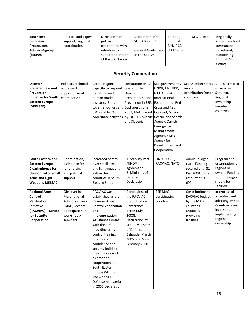| Southeast<br>European<br><b>Prosecutors</b><br>AdvisoryGgroup<br>(SEEPAG)                                                                          | Political and expert<br>support, regional<br>coordination                                                            |     | Mechanism of<br>judicial<br>cooperation with<br>intention to<br>support operation<br>of the SECI Center                                                                                                                                                                                                                                                                                                            |                 | Declaration of the<br><b>SEEPAG - 2003</b><br><b>General Guidelines</b><br>of the SEEPAG.                                                                                                        |                                                                                                                       | Europol,<br>Eurojust,<br>EJN, RCC,<br><b>SECI Center</b>                  |        | <b>SECI Centre</b>                                                                                      | Regionally<br>owned, without<br>permanent<br>secretariat,<br>functioning<br>through SECI<br>Center                            |
|----------------------------------------------------------------------------------------------------------------------------------------------------|----------------------------------------------------------------------------------------------------------------------|-----|--------------------------------------------------------------------------------------------------------------------------------------------------------------------------------------------------------------------------------------------------------------------------------------------------------------------------------------------------------------------------------------------------------------------|-----------------|--------------------------------------------------------------------------------------------------------------------------------------------------------------------------------------------------|-----------------------------------------------------------------------------------------------------------------------|---------------------------------------------------------------------------|--------|---------------------------------------------------------------------------------------------------------|-------------------------------------------------------------------------------------------------------------------------------|
|                                                                                                                                                    |                                                                                                                      |     |                                                                                                                                                                                                                                                                                                                                                                                                                    |                 | <b>Security Cooperation</b>                                                                                                                                                                      |                                                                                                                       |                                                                           |        |                                                                                                         |                                                                                                                               |
| <b>Disaster</b><br>Preparedness and<br><b>Prevention</b><br><b>Initiative for South</b><br><b>Eastern Europe</b><br>(DPPI SEE)                     | Political, technical<br>and expert<br>support, overall<br>coordination                                               |     | Create regional<br>capacity to respond<br>to natural and<br>human-made<br>disasters. Bring<br>together donors and Bucharest, June<br>IGOs and NGOs to<br>coordinate activities                                                                                                                                                                                                                                     | <b>Disaster</b> | Declaration on Co-SEE governments,<br>operation in<br>Preparedness and<br>Prevention in SEE,<br>2002, MoU signed Crescent, Swedish<br>by 10 SEE Countries Rescue and Search<br>and Slovenia      | NATO, SRSA<br>International<br>Cross and Red<br>Emergency<br>Management<br>Agency, Swiss<br>Agency for<br>Cooperation | UNDP, UN, IFRC,<br>Federation of Red<br>Agency, Danish<br>Development and | annual | <b>SEE Member states</b><br>contribution Donor<br>countries.                                            | <b>DPPI Secretariat</b><br>is based in<br>Sarajevo,<br>Regional<br>ownership-<br>member<br>countries.                         |
| South Eastern and<br><b>Eastern Europe</b><br><b>Clearinghouse for</b><br>the Control of Small<br><b>Arms and Light</b><br><b>Weapons (SEESAC)</b> | Coordination,<br>assistance for<br>fund-raising,<br>and political<br>support.                                        |     | Increased control<br>over small arms<br>and light weapons<br>within the<br>countries in South<br>Eastern Europe.                                                                                                                                                                                                                                                                                                   | /UNDP           | 1. Stability Pact<br>agreement<br>2. Ministers of<br>Defense<br>Declaration                                                                                                                      | UNDP, OSCE,                                                                                                           | RACVIAC, NATO.                                                            | 600    | Annual budget<br>cycle. Funding<br>secured until 31<br>Dec 2009 in the<br>amount of EUR                 | Program and<br>organization is<br>regionally<br>owned. Funding<br>from the region<br>should be<br>secured.                    |
| <b>Regional Arms</b><br>Control<br><b>Verification</b><br><b>Initiative</b><br>(RACVIAC) – Centre<br>for Security<br>Cooperation                   | Observer in<br>Multinational<br><b>Advisory Group</b><br>(MAG), expert<br>participation in<br>workshops/<br>seminars | and | <b>RACVIAC was</b><br>established as the<br><b>Regional Arms</b><br><b>Control Verification</b><br>Implementation<br><b>Assistance Centre</b><br>with the aim<br>providing arms<br>control training,<br>promoting<br>confidence and<br>security building<br>measures as well<br>as broaden<br>cooperation in<br>South Eastern<br>Europe (SEE). In<br>line with SEECP<br>Defense Ministerial<br>in 2005 declaration | $2000$ ).       | Conclusions of<br>the RACVIAC<br>Co-ordination<br>Conference<br>Berlin (July<br>Declaration of<br><b>SEECP Ministers</b><br>of Defense,<br>Belgrade, March<br>2005, and Sofia,<br>February 2008. | <b>SEE MAG</b><br>participating<br>countries                                                                          |                                                                           |        | Contributions to<br>RACVIAC budget<br>by the MAG<br>countries<br>Croatia is<br>providing<br>facilities. | In process of<br>accepting and<br>adopting by SEE<br>Countries a new<br>legal status<br>implementing<br>regional<br>ownership |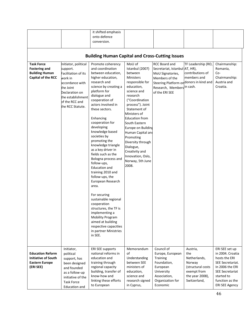|                                                                                             |                                                                                                                                                                                | it shifted emphasis<br>onto defence<br>conversion.                                                                                                                                                                                                                                                                                                                                                                                                                                                                                                                                                                                                                                                                                  |                                                                                                                                                                                                                                                                                                                                                                                                    |                                                                                                                                                                                             |                                                                                                                  |                                                                                                                                                                                |  |  |  |  |  |
|---------------------------------------------------------------------------------------------|--------------------------------------------------------------------------------------------------------------------------------------------------------------------------------|-------------------------------------------------------------------------------------------------------------------------------------------------------------------------------------------------------------------------------------------------------------------------------------------------------------------------------------------------------------------------------------------------------------------------------------------------------------------------------------------------------------------------------------------------------------------------------------------------------------------------------------------------------------------------------------------------------------------------------------|----------------------------------------------------------------------------------------------------------------------------------------------------------------------------------------------------------------------------------------------------------------------------------------------------------------------------------------------------------------------------------------------------|---------------------------------------------------------------------------------------------------------------------------------------------------------------------------------------------|------------------------------------------------------------------------------------------------------------------|--------------------------------------------------------------------------------------------------------------------------------------------------------------------------------|--|--|--|--|--|
| <b>Building Human Capital and Cross-Cutting Issues</b>                                      |                                                                                                                                                                                |                                                                                                                                                                                                                                                                                                                                                                                                                                                                                                                                                                                                                                                                                                                                     |                                                                                                                                                                                                                                                                                                                                                                                                    |                                                                                                                                                                                             |                                                                                                                  |                                                                                                                                                                                |  |  |  |  |  |
| <b>Task Force</b><br><b>Fostering and</b><br><b>Building Human</b><br>Capital of the RCC    | nitiator, political<br>support.<br>Facilitation of its<br>work in<br>accordance with<br>the Joint<br>Declaration on<br>the establishment<br>of the RCC and<br>the RCC Statute. | Promote coherency<br>and coordination<br>between education,<br>higher education,<br>research and<br>science by creating a<br>platform for<br>dialogue and<br>cooperation of<br>actors involved in<br>these sectors.<br>Enhancing<br>cooperation for<br>developing<br>knowledge based<br>societies by<br>promoting the<br>knowledge triangle<br>as a key driver in<br>fields such as the<br>Bologna process and<br>follow-ups,<br>Education and<br>training 2010 and<br>follow-ups, the<br>European Research<br>area.<br>For securing<br>sustainable regional<br>cooperation<br>structures, the TF is<br>implementing a<br><b>Mobility Program</b><br>aimed at building<br>respective capacities<br>in partner Ministries<br>in SEE. | MoU of<br>Istanbul (2007)<br>between<br><b>Ministers</b><br>responsible for<br>education,<br>science and<br>research<br>("Coordination<br>process"). Joint<br>Statement of<br>Ministers of<br><b>Education from</b><br>South Eastern<br>Europe on Building<br>Human Capital and<br>Promoting<br>Diversity through<br>Dialogue,<br>Creativity and<br>Innovation, Oslo,<br>Norway, 5th June<br>2008. | RCC Board and<br>Secretariat, Istanbul AT, HR),<br>MoU Signatories,<br>Members of the<br>Steering Platform on donors in kind and<br>Research, Members <sup>in cash.</sup><br>of the ERI SEE | TF Leadership (RO,<br>contributions of<br>members and                                                            | Chairmanship:<br>Romania,<br>Co-<br>Chairmanship:<br>Austria and<br>Croatia.                                                                                                   |  |  |  |  |  |
| <b>Education Reform</b><br><b>Initiative of South</b><br><b>Eastern Europe</b><br>(ERI SEE) | Initiator,<br>political<br>support, has<br>been designed<br>and founded<br>as a follow-up<br>initiative of the<br><b>Task Force</b><br><b>Education and</b>                    | <b>ERI SEE supports</b><br>national reforms in<br>education and<br>training through<br>regional capacity<br>building, transfer of<br>know-how and<br>linking these efforts<br>to European                                                                                                                                                                                                                                                                                                                                                                                                                                                                                                                                           | Memorandum<br>οf<br>Understanding<br>between SEE<br>ministers of<br>education,<br>science and<br>research signed<br>in Cyprus,                                                                                                                                                                                                                                                                     | Council of<br>Europe, European<br><b>Training</b><br>Foundation,<br>European<br>University<br>Association,<br>Organization for<br>Economic                                                  | Austria,<br>the<br>Netherlands,<br>Norway<br>(structural costs<br>exempt from<br>the year 2008),<br>Switzerland, | ERI SEE set up<br>in 2004. Croatia<br>hosts the ERI<br>SEE Secretariat.<br>In 2006 the ERI<br><b>SEE Secretariat</b><br>started to<br>function as the<br><b>ERI SEE Agency</b> |  |  |  |  |  |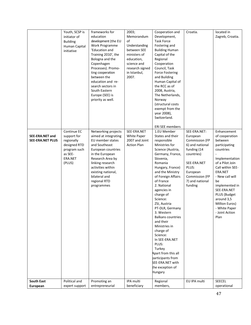|                                            | Youth, SCSP is<br>initiator of<br><b>Building</b><br>Human Capital<br>initiative                         | frameworks for<br>education<br>development (the EU<br>Work Programme<br>'Education and<br>Training 2010', the<br>Bologna and the<br>Copenhagen<br>Processes). Promo-<br>ting cooperation<br>between the<br>education and re-<br>search sectors in<br>South Eastern<br>Europe (SEE) is<br>priority as well. | 2003;<br>Memorandum<br>of<br>Understanding<br>between SEE<br>ministers of<br>education,<br>science and<br>research signed<br>in Istanbul,<br>2007. | Cooperation and<br>Development,<br><b>Task Force</b><br>Fostering and<br><b>Building Human</b><br>Capital of the<br>Regional<br>Cooperation<br>Council, Task<br><b>Force Fostering</b><br>and Building<br>Human Capital of<br>the RCC as of<br>2008, Austria,<br>The Netherlands,<br>Norway<br>(structural costs<br>exempt from the<br>year 2008),<br>Switzerland.                                                                                                                                                                                                    | Croatia.                                                                                                                                                                       | located in<br>Zagreb, Croatia.                                                                                                                                                                                                                                                                  |
|--------------------------------------------|----------------------------------------------------------------------------------------------------------|------------------------------------------------------------------------------------------------------------------------------------------------------------------------------------------------------------------------------------------------------------------------------------------------------------|----------------------------------------------------------------------------------------------------------------------------------------------------|-----------------------------------------------------------------------------------------------------------------------------------------------------------------------------------------------------------------------------------------------------------------------------------------------------------------------------------------------------------------------------------------------------------------------------------------------------------------------------------------------------------------------------------------------------------------------|--------------------------------------------------------------------------------------------------------------------------------------------------------------------------------|-------------------------------------------------------------------------------------------------------------------------------------------------------------------------------------------------------------------------------------------------------------------------------------------------|
| SEE-ERA.NET and<br><b>SEE-ERA.NET PLUS</b> | Continue EC<br>support for<br>regionally<br>designed RTD<br>program such<br>as SEE-<br>ERA.NET<br>(PLUS) | Networking projects<br>aimed at integrating<br>EU member states<br>and Southeast<br>European countries<br>in the European<br>Research Area by<br>linking research<br>activities within<br>existing national,<br>bilateral and<br>regional RTD<br>programmes                                                | SEE-ERA.NET<br>White Paper<br>2007 and Joint<br><b>Action Plan</b>                                                                                 | <b>ERI SEE members</b><br>1.EU Member<br>States and their<br>responsible<br>Ministries for<br>Science (Austria,<br>Germany, France,<br>Slovenia,<br>Romania<br>Hungary, France)<br>and the Ministry<br>of Foreign Affairs<br>of France<br>2. National<br>agencies in<br>charge of<br>Science:<br>ZSI, Austria<br>PT-DLR, Germany<br>3. Western<br><b>Balkans countries</b><br>and their<br>Ministries in<br>charge of<br>Science:<br>In SEE-ERA.NET<br>PLUS:<br>Turkey<br>Apart from this all<br>participants from<br>SEE-ERA.NET with<br>the exception of<br>Hungary | SEE-ERA.NET:<br>European<br>Commission (FP<br>6) and national<br>funding (14<br>countries)<br>SEE-ERA.NET<br>PLUS:<br>European<br>Commission (FP<br>7) and national<br>funding | Enhancement<br>of cooperation<br>between<br>participating<br>countries<br>Implementation<br>of a Pilot Join<br>Call within SEE-<br>ERA.NET<br>- New call will<br>be<br>implemented in<br>SEE-ERA.NET<br>PLUS (Budget<br>around 3,5<br>Million Euros)<br>- White Paper<br>- Joint Action<br>Plan |
| <b>South East</b><br>European              | Political and<br>expert support                                                                          | Promoting an<br>entrepreneurial                                                                                                                                                                                                                                                                            | IPA multi<br>beneficiary                                                                                                                           | Regional<br>members,                                                                                                                                                                                                                                                                                                                                                                                                                                                                                                                                                  | EU IPA multi                                                                                                                                                                   | SEECEL<br>operational                                                                                                                                                                                                                                                                           |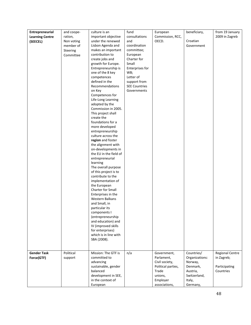| Entrepreneurial<br><b>Learning Centre</b><br>(SEECEL) | and coope-<br>ration,<br>Non voting<br>member of<br>Steering<br>Committee | culture is an<br>important objective<br>under the renewed<br>Lisbon Agenda and<br>makes an important<br>contribution to<br>create jobs and<br>growth for Europe.<br>Entrepreneurship is<br>one of the 8 key<br>competences<br>defined in the<br>Recommendations<br>on Key<br>Competences for<br>Life-Long Learning<br>adopted by the<br>Commission in 2005.<br>This project shall<br>create the<br>foundations for a<br>more developed<br>entrepreneurship<br>culture across the<br>region and foster<br>the alignment with<br>on-developments in<br>the EU in the field of<br>entrepreneurial<br>learning<br>The overall purpose<br>of this project is to | fund<br>consultations<br>and<br>coordination<br>committee;<br>European<br>Charter for<br>Small<br>Enterprises for<br>WB;<br>Letter of<br>support from<br><b>SEE Countries</b><br>Governments | European<br>Commission, RCC,<br>OECD.                                                                              | beneficiary,<br>Croatian<br>Government                                                                | from 19 January<br>2009 in Zagreb                                  |
|-------------------------------------------------------|---------------------------------------------------------------------------|------------------------------------------------------------------------------------------------------------------------------------------------------------------------------------------------------------------------------------------------------------------------------------------------------------------------------------------------------------------------------------------------------------------------------------------------------------------------------------------------------------------------------------------------------------------------------------------------------------------------------------------------------------|----------------------------------------------------------------------------------------------------------------------------------------------------------------------------------------------|--------------------------------------------------------------------------------------------------------------------|-------------------------------------------------------------------------------------------------------|--------------------------------------------------------------------|
|                                                       |                                                                           | the European<br>Charter for Small<br>Enterprises in the<br>Western Balkans<br>and Small, in<br>particular its<br>components I<br>(entrepreneurship<br>and education) and<br>IV (improved skills<br>for enterprises)<br>which is in line with<br>SBA (2008).                                                                                                                                                                                                                                                                                                                                                                                                |                                                                                                                                                                                              |                                                                                                                    |                                                                                                       |                                                                    |
| <b>Gender Task</b><br>Force(GTF)                      | Political<br>support                                                      | Mission: The GTF is<br>committed to<br>advancing<br>sustainable, gender<br>balanced<br>development in SEE,<br>in the context of<br>European                                                                                                                                                                                                                                                                                                                                                                                                                                                                                                                | n/a                                                                                                                                                                                          | Government,<br>Parlament,<br>Civil society,<br>Political parties,<br>Trade<br>unions,<br>Employer<br>associations, | Countries/<br>Organizations:<br>Norway,<br>Denmark,<br>Austria,<br>Switzerland,<br>Italy,<br>Germany, | <b>Regional Centre</b><br>in Zagreb;<br>Participating<br>Countries |